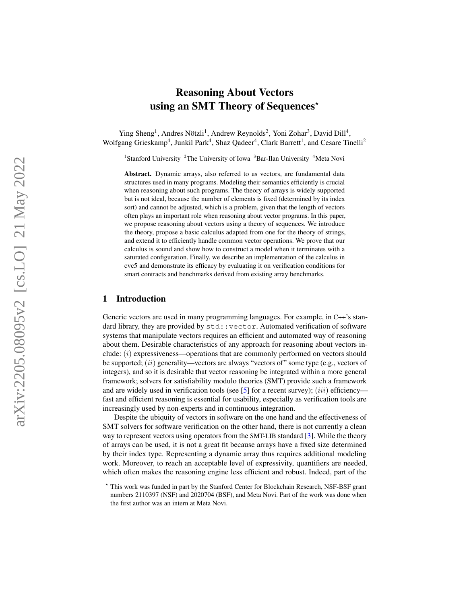# Reasoning About Vectors using an SMT Theory of Sequences\*

Ying Sheng<sup>1</sup>, Andres Nötzli<sup>1</sup>, Andrew Reynolds<sup>2</sup>, Yoni Zohar<sup>3</sup>, David Dill<sup>4</sup>, Wolfgang Grieskamp<sup>4</sup>, Junkil Park<sup>4</sup>, Shaz Qadeer<sup>4</sup>, Clark Barrett<sup>1</sup>, and Cesare Tinelli<sup>2</sup>

<sup>1</sup>Stanford University <sup>2</sup>The University of Iowa <sup>3</sup>Bar-Ilan University <sup>4</sup>Meta Novi

Abstract. Dynamic arrays, also referred to as vectors, are fundamental data structures used in many programs. Modeling their semantics efficiently is crucial when reasoning about such programs. The theory of arrays is widely supported but is not ideal, because the number of elements is fixed (determined by its index sort) and cannot be adjusted, which is a problem, given that the length of vectors often plays an important role when reasoning about vector programs. In this paper, we propose reasoning about vectors using a theory of sequences. We introduce the theory, propose a basic calculus adapted from one for the theory of strings, and extend it to efficiently handle common vector operations. We prove that our calculus is sound and show how to construct a model when it terminates with a saturated configuration. Finally, we describe an implementation of the calculus in cvc5 and demonstrate its efficacy by evaluating it on verification conditions for smart contracts and benchmarks derived from existing array benchmarks.

# 1 Introduction

Generic vectors are used in many programming languages. For example, in C++'s standard library, they are provided by std::vector. Automated verification of software systems that manipulate vectors requires an efficient and automated way of reasoning about them. Desirable characteristics of any approach for reasoning about vectors include:  $(i)$  expressiveness—operations that are commonly performed on vectors should be supported;  $(ii)$  generality—vectors are always "vectors of" some type (e.g., vectors of integers), and so it is desirable that vector reasoning be integrated within a more general framework; solvers for satisfiability modulo theories (SMT) provide such a framework and are widely used in verification tools (see  $[5]$  $[5]$  for a recent survey);  $(iii)$  efficiency fast and efficient reasoning is essential for usability, especially as verification tools are increasingly used by non-experts and in continuous integration.

Despite the ubiquity of vectors in software on the one hand and the effectiveness of SMT solvers for software verification on the other hand, there is not currently a clean way to represent vectors using operators from the SMT-LIB standard [ [3\]](#page-17-1). While the theory of arrays can be used, it is not a great fit because arrays have a fixed size determined by their index type. Representing a dynamic array thus requires additional modeling work. Moreover, to reach an acceptable level of expressivity, quantifiers are needed, which often makes the reasoning engine less efficient and robust. Indeed, part of the

<sup>‹</sup> This work was funded in part by the Stanford Center for Blockchain Research, NSF-BSF grant numbers 2110397 (NSF) and 2020704 (BSF), and Meta Novi. Part of the work was done when the first author was an intern at Meta Novi.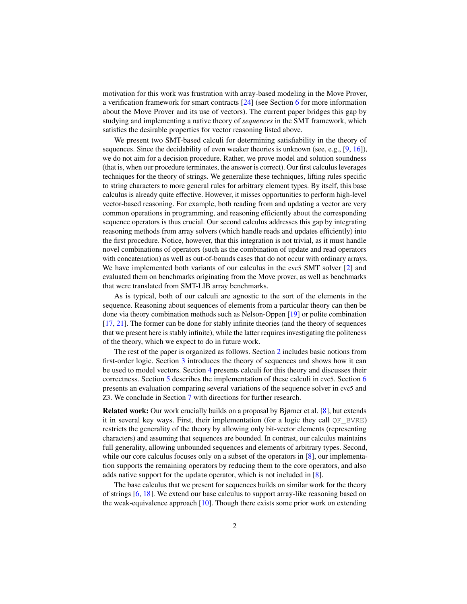motivation for this work was frustration with array-based modeling in the Move Prover, a verification framework for smart contracts [\[24\]](#page-18-0) (see Section [6](#page-15-0) for more information about the Move Prover and its use of vectors). The current paper bridges this gap by studying and implementing a native theory of *sequences* in the SMT framework, which satisfies the desirable properties for vector reasoning listed above.

We present two SMT-based calculi for determining satisfiability in the theory of sequences. Since the decidability of even weaker theories is unknown (see, e.g., [\[9,](#page-17-2) [16\]](#page-17-3)), we do not aim for a decision procedure. Rather, we prove model and solution soundness (that is, when our procedure terminates, the answer is correct). Our first calculus leverages techniques for the theory of strings. We generalize these techniques, lifting rules specific to string characters to more general rules for arbitrary element types. By itself, this base calculus is already quite effective. However, it misses opportunities to perform high-level vector-based reasoning. For example, both reading from and updating a vector are very common operations in programming, and reasoning efficiently about the corresponding sequence operators is thus crucial. Our second calculus addresses this gap by integrating reasoning methods from array solvers (which handle reads and updates efficiently) into the first procedure. Notice, however, that this integration is not trivial, as it must handle novel combinations of operators (such as the combination of update and read operators with concatenation) as well as out-of-bounds cases that do not occur with ordinary arrays. We have implemented both variants of our calculus in the cvc5 SMT solver [\[2\]](#page-17-4) and evaluated them on benchmarks originating from the Move prover, as well as benchmarks that were translated from SMT-LIB array benchmarks.

As is typical, both of our calculi are agnostic to the sort of the elements in the sequence. Reasoning about sequences of elements from a particular theory can then be done via theory combination methods such as Nelson-Oppen [\[19\]](#page-18-1) or polite combination [\[17,](#page-17-5) [21\]](#page-18-2). The former can be done for stably infinite theories (and the theory of sequences that we present here is stably infinite), while the latter requires investigating the politeness of the theory, which we expect to do in future work.

The rest of the paper is organized as follows. Section [2](#page-2-0) includes basic notions from first-order logic. Section [3](#page-2-1) introduces the theory of sequences and shows how it can be used to model vectors. Section [4](#page-4-0) presents calculi for this theory and discusses their correctness. Section [5](#page-13-0) describes the implementation of these calculi in cvc5. Section [6](#page-15-0) presents an evaluation comparing several variations of the sequence solver in cvc5 and Z3. We conclude in Section [7](#page-16-0) with directions for further research.

Related work: Our work crucially builds on a proposal by Bjørner et al. [\[8\]](#page-17-6), but extends it in several key ways. First, their implementation (for a logic they call  $QF_BVRE$ ) restricts the generality of the theory by allowing only bit-vector elements (representing characters) and assuming that sequences are bounded. In contrast, our calculus maintains full generality, allowing unbounded sequences and elements of arbitrary types. Second, while our core calculus focuses only on a subset of the operators in  $[8]$ , our implementation supports the remaining operators by reducing them to the core operators, and also adds native support for the update operator, which is not included in [\[8\]](#page-17-6).

The base calculus that we present for sequences builds on similar work for the theory of strings [\[6,](#page-17-7) [18\]](#page-18-3). We extend our base calculus to support array-like reasoning based on the weak-equivalence approach [\[10\]](#page-17-8). Though there exists some prior work on extending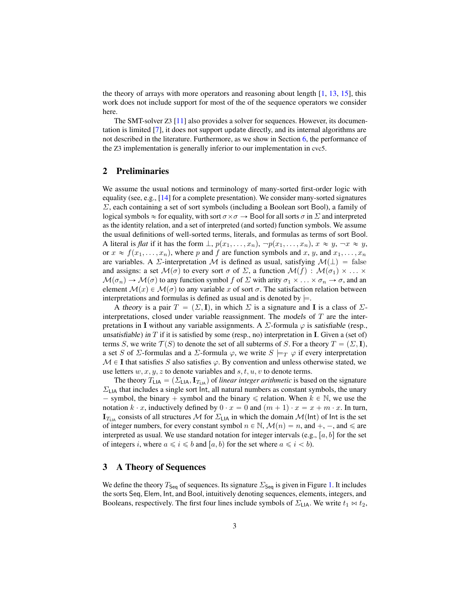the theory of arrays with more operators and reasoning about length  $[1, 13, 15]$  $[1, 13, 15]$  $[1, 13, 15]$  $[1, 13, 15]$  $[1, 13, 15]$ , this work does not include support for most of the of the sequence operators we consider here.

The SMT-solver Z3 [\[11\]](#page-17-12) also provides a solver for sequences. However, its documentation is limited [\[7\]](#page-17-13), it does not support update directly, and its internal algorithms are not described in the literature. Furthermore, as we show in Section [6,](#page-15-0) the performance of the Z3 implementation is generally inferior to our implementation in cvc5.

# <span id="page-2-0"></span>2 Preliminaries

We assume the usual notions and terminology of many-sorted first-order logic with equality (see, e.g., [\[14\]](#page-17-14) for a complete presentation). We consider many-sorted signatures Σ, each containing a set of sort symbols (including a Boolean sort Bool), a family of logical symbols  $\approx$  for equality, with sort  $\sigma \times \sigma \rightarrow$  Bool for all sorts  $\sigma$  in  $\Sigma$  and interpreted as the identity relation, and a set of interpreted (and sorted) function symbols. We assume the usual definitions of well-sorted terms, literals, and formulas as terms of sort Bool. A literal is *flat* if it has the form  $\bot$ ,  $p(x_1, \ldots, x_n)$ ,  $\neg p(x_1, \ldots, x_n)$ ,  $x \approx y$ ,  $\neg x \approx y$ , or  $x \approx f(x_1, \ldots, x_n)$ , where p and f are function symbols and x, y, and  $x_1, \ldots, x_n$ are variables. A  $\Sigma$ -interpretation M is defined as usual, satisfying  $\mathcal{M}(\perp)$  = false and assigns: a set  $\mathcal{M}(\sigma)$  to every sort  $\sigma$  of  $\Sigma$ , a function  $\mathcal{M}(f) : \mathcal{M}(\sigma_1) \times \ldots \times$  $\mathcal{M}(\sigma_n) \to \mathcal{M}(\sigma)$  to any function symbol f of  $\Sigma$  with arity  $\sigma_1 \times \ldots \times \sigma_n \to \sigma$ , and an element  $\mathcal{M}(x) \in \mathcal{M}(\sigma)$  to any variable x of sort  $\sigma$ . The satisfaction relation between interpretations and formulas is defined as usual and is denoted by  $\models$ .

A theory is a pair  $T = (\Sigma, I)$ , in which  $\Sigma$  is a signature and I is a class of  $\Sigma$ interpretations, closed under variable reassignment. The models of  $T$  are the interpretations in I without any variable assignments. A  $\Sigma$ -formula  $\varphi$  is satisfiable (resp., unsatisfiable) in  $T$  if it is satisfied by some (resp., no) interpretation in I. Given a (set of) terms S, we write  $\mathcal{T}(S)$  to denote the set of all subterms of S. For a theory  $T = (\Sigma, \mathbf{I})$ , a set S of Σ-formulas and a Σ-formula  $\varphi$ , we write  $S \models_T \varphi$  if every interpretation  $\mathcal{M} \in \mathbf{I}$  that satisfies S also satisfies  $\varphi$ . By convention and unless otherwise stated, we use letters  $w, x, y, z$  to denote variables and  $s, t, u, v$  to denote terms.

The theory  $T_{\text{LIA}} = (\Sigma_{\text{LIA}}, I_{T_{\text{LIA}}})$  of *linear integer arithmetic* is based on the signature  $\Sigma$ <sub>LIA</sub> that includes a single sort lnt, all natural numbers as constant symbols, the unary - symbol, the binary + symbol and the binary  $\leq$  relation. When  $k \in \mathbb{N}$ , we use the notation  $k \cdot x$ , inductively defined by  $0 \cdot x = 0$  and  $(m + 1) \cdot x = x + m \cdot x$ . In turn,  $I_{T_{\text{IIA}}}$  consists of all structures M for  $\Sigma_{\text{LIA}}$  in which the domain  $\mathcal{M}(\text{Int})$  of Int is the set of integer numbers, for every constant symbol  $n \in \mathbb{N}$ ,  $\mathcal{M}(n) = n$ , and  $+$ ,  $-$ , and  $\le$  are interpreted as usual. We use standard notation for integer intervals (e.g.,  $[a, b]$  for the set of integers i, where  $a \le i \le b$  and  $[a, b)$  for the set where  $a \le i < b$ ).

# <span id="page-2-1"></span>3 A Theory of Sequences

We define the theory  $T_{\text{Seq}}$  of sequences. Its signature  $\Sigma_{\text{Seq}}$  is given in Figure [1.](#page-3-0) It includes the sorts Seq, Elem, Int, and Bool, intuitively denoting sequences, elements, integers, and Booleans, respectively. The first four lines include symbols of  $\Sigma_{\text{LIA}}$ . We write  $t_1 \bowtie t_2$ ,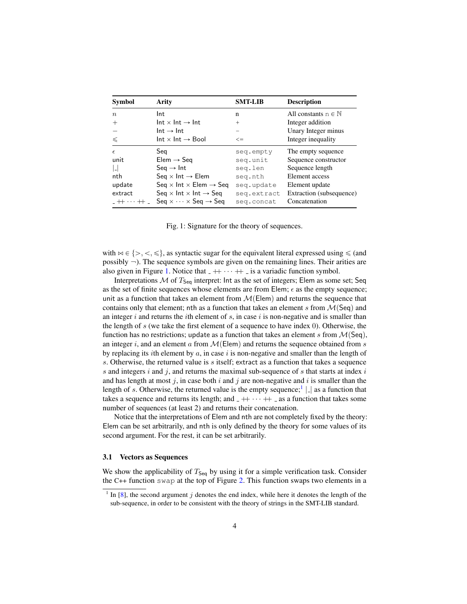<span id="page-3-0"></span>

| <b>Symbol</b>    | Arity                                            | <b>SMT-LIB</b> | <b>Description</b>               |
|------------------|--------------------------------------------------|----------------|----------------------------------|
| $\boldsymbol{n}$ | Int                                              | n              | All constants $n \in \mathbb{N}$ |
| $^+$             | $Int \times Int \rightarrow Int$                 | $^{+}$         | Integer addition                 |
|                  | $Int \rightarrow Int$                            |                | Unary Integer minus              |
| ≤                | $Int \times Int \rightarrow Bool$                | $\lt =$        | Integer inequality               |
| $\epsilon$       | Sea                                              | seq.empty      | The empty sequence               |
| unit             | Elem $\rightarrow$ Seq                           | seq.unit       | Sequence constructor             |
| H                | $Seq \rightarrow Int$                            | seq.len        | Sequence length                  |
| nth              | Seq $\times$ Int $\rightarrow$ Elem              | seq.nth        | Element access                   |
| update           | Seq $\times$ Int $\times$ Elem $\rightarrow$ Seq | seq.update     | Element update                   |
| extract          | Seq $\times$ Int $\times$ Int $\rightarrow$ Seq  | seq.extract    | Extraction (subsequence)         |
| $-++\cdots++-$   | Seq $\times \cdots \times$ Seq $\rightarrow$ Seq | seq.concat     | Concatenation                    |

Fig. 1: Signature for the theory of sequences.

with  $\bowtie \in \{>, <, \leq,\}$  as syntactic sugar for the equivalent literal expressed using  $\leq$  (and possibly  $\neg$ ). The sequence symbols are given on the remaining lines. Their arities are also given in Figure [1.](#page-3-0) Notice that  $- + + \cdots + -$  is a variadic function symbol.

Interpretations  $M$  of  $T_{\text{Seq}}$  interpret: Int as the set of integers; Elem as some set; Seq as the set of finite sequences whose elements are from Elem;  $\epsilon$  as the empty sequence; unit as a function that takes an element from  $M(\text{Elem})$  and returns the sequence that contains only that element; nth as a function that takes an element s from  $\mathcal{M}(\mathsf{Seq})$  and an integer i and returns the ith element of s, in case i is non-negative and is smaller than the length of s (we take the first element of a sequence to have index  $(0)$ ). Otherwise, the function has no restrictions; update as a function that takes an element s from  $M(Seq)$ , an integer i, and an element a from  $\mathcal{M}(E$ lem) and returns the sequence obtained from s by replacing its *i*th element by  $a$ , in case *i* is non-negative and smaller than the length of s. Otherwise, the returned value is s itself; extract as a function that takes a sequence s and integers i and j, and returns the maximal sub-sequence of s that starts at index i and has length at most j, in case both i and j are non-negative and i is smaller than the length of s. Otherwise, the returned value is the empty sequence;  $\vert \cdot \vert$  as a function that takes a sequence and returns its length; and  $\bot + \cdots + \bot$  as a function that takes some number of sequences (at least 2) and returns their concatenation.

Notice that the interpretations of Elem and nth are not completely fixed by the theory: Elem can be set arbitrarily, and nth is only defined by the theory for some values of its second argument. For the rest, it can be set arbitrarily.

#### 3.1 Vectors as Sequences

We show the applicability of  $T_{\text{Seq}}$  by using it for a simple verification task. Consider the C++ function swap at the top of Figure [2.](#page-5-0) This function swaps two elements in a

<span id="page-3-1"></span><sup>&</sup>lt;sup>1</sup> In [\[8\]](#page-17-6), the second argument j denotes the end index, while here it denotes the length of the sub-sequence, in order to be consistent with the theory of strings in the SMT-LIB standard.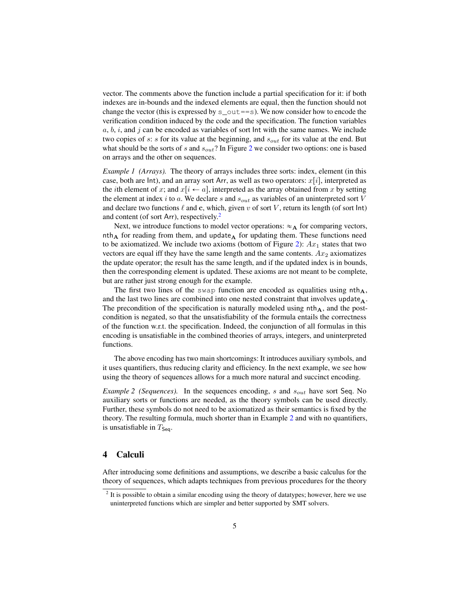vector. The comments above the function include a partial specification for it: if both indexes are in-bounds and the indexed elements are equal, then the function should not change the vector (this is expressed by  $s$  out  $=$  = s). We now consider how to encode the verification condition induced by the code and the specification. The function variables  $a, b, i$ , and j can be encoded as variables of sort lnt with the same names. We include two copies of s: s for its value at the beginning, and  $s_{out}$  for its value at the end. But what should be the sorts of s and  $s_{out}$ ? In Figure [2](#page-5-0) we consider two options: one is based on arrays and the other on sequences.

*Example 1 (Arrays).* The theory of arrays includes three sorts: index, element (in this case, both are lnt), and an array sort Arr, as well as two operators:  $x[i]$ , interpreted as the *i*th element of x; and  $x[i \leftarrow a]$ , interpreted as the array obtained from x by setting the element at index i to a. We declare s and  $s_{out}$  as variables of an uninterpreted sort V and declare two functions  $\ell$  and c, which, given v of sort V, return its length (of sort Int) and content (of sort Arr), respectively.<sup>[2](#page-4-1)</sup>

Next, we introduce functions to model vector operations:  $\approx_A$  for comparing vectors,  $nth_A$  for reading from them, and update<sub>A</sub> for updating them. These functions need to be axiomatized. We include two axioms (bottom of Figure [2\)](#page-5-0):  $Ax_1$  states that two vectors are equal iff they have the same length and the same contents.  $Ax_2$  axiomatizes the update operator; the result has the same length, and if the updated index is in bounds, then the corresponding element is updated. These axioms are not meant to be complete, but are rather just strong enough for the example.

The first two lines of the swap function are encoded as equalities using  $nth<sub>A</sub>$ , and the last two lines are combined into one nested constraint that involves update  $\Delta$ . The precondition of the specification is naturally modeled using  $nth_A$ , and the postcondition is negated, so that the unsatisfiability of the formula entails the correctness of the function w.r.t. the specification. Indeed, the conjunction of all formulas in this encoding is unsatisfiable in the combined theories of arrays, integers, and uninterpreted functions.

The above encoding has two main shortcomings: It introduces auxiliary symbols, and it uses quantifiers, thus reducing clarity and efficiency. In the next example, we see how using the theory of sequences allows for a much more natural and succinct encoding.

<span id="page-4-2"></span>*Example 2 (Sequences).* In the sequences encoding, s and  $s_{out}$  have sort Seq. No auxiliary sorts or functions are needed, as the theory symbols can be used directly. Further, these symbols do not need to be axiomatized as their semantics is fixed by the theory. The resulting formula, much shorter than in Example [2](#page-4-2) and with no quantifiers, is unsatisfiable in  $T_{\text{Seq}}$ .

## <span id="page-4-0"></span>4 Calculi

After introducing some definitions and assumptions, we describe a basic calculus for the theory of sequences, which adapts techniques from previous procedures for the theory

<span id="page-4-1"></span> $2<sup>2</sup>$  It is possible to obtain a similar encoding using the theory of datatypes; however, here we use uninterpreted functions which are simpler and better supported by SMT solvers.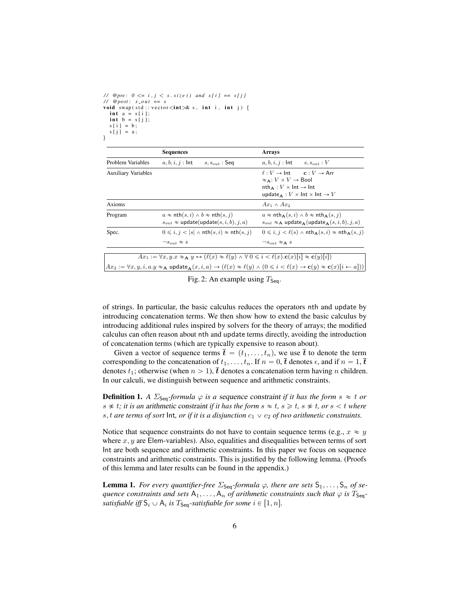```
// @pre: 0 \le i, j \le s. size() and s[i] == s[j]/ / @post : s o u t == s
void swap (std: : vector \langle int \rangle \& s, int i, int j) {
    \begin{array}{ll} \textbf{int} & a = s[i]; \ \textbf{int} & b = s[j]; \end{array}s\ [\ i\ ]\ =\ b\ ;s [ j ] = a ;}
```

|                            | <b>Sequences</b>                                                                                                                        | <b>Arrays</b>                                                                                                                                                                                                                           |  |
|----------------------------|-----------------------------------------------------------------------------------------------------------------------------------------|-----------------------------------------------------------------------------------------------------------------------------------------------------------------------------------------------------------------------------------------|--|
| Problem Variables          | $a, b, i, j$ : Int<br>$s, s_{out}$ : Seq                                                                                                | $a, b, i, j$ : Int<br>$s, s_{out}: V$                                                                                                                                                                                                   |  |
| <b>Auxiliary Variables</b> |                                                                                                                                         | $l: V \to \text{Int}$ $\mathbf{c}: V \to \text{Arr}$<br>$\approx$ A: $V \times V \rightarrow$ Bool<br>nth $\Lambda: V \times \text{Int} \rightarrow \text{Int}$<br>update $\Delta: V \times \text{Int} \times \text{Int} \rightarrow V$ |  |
| Axioms                     |                                                                                                                                         | $Ax_1 \wedge Ax_2$                                                                                                                                                                                                                      |  |
| Program                    | $a \approx$ nth $(s, i) \wedge b \approx$ nth $(s, j)$<br>$s_{out} \approx$ update(update(s, i, b), j, a)                               | $a \approx$ nth $\mathbf{A}(s, i) \wedge b \approx$ nth $\mathbf{A}(s, i)$<br>$s_{out} \approx_A$ update <sub>A</sub> (update <sub>A</sub> $(s, i, b), j, a$ )                                                                          |  |
| Spec.                      | $0 \leq i, j <  s  \wedge nth(s, i) \approx nth(s, j)$                                                                                  | $0 \leq i, j < \ell(s)$ $\wedge$ nth $\mathbf{A}(s, i) \approx$ nth $\mathbf{A}(s, j)$                                                                                                                                                  |  |
|                            | $\neg s_{out} \approx s$                                                                                                                | $\neg s_{out} \approx_A s$                                                                                                                                                                                                              |  |
|                            | $Ax_1 := \forall x, y.x \approx_A y \leftrightarrow (\ell(x) \approx \ell(y) \land \forall 0 \leq i < \ell(x).c(x)[i] \approx c(y)[i])$ |                                                                                                                                                                                                                                         |  |

| $Ax_1 := \forall x, y \in \mathbf{A} \; y \leftrightarrow (\ell(x) \approx \ell(y) \land \lor \cup \leq \ell < \ell(x) \cdot \mathbf{C}(x)[\ell] \approx \mathbf{C}(y)[\ell])$ |  |                                                                                                                                                                                                                                  |
|--------------------------------------------------------------------------------------------------------------------------------------------------------------------------------|--|----------------------------------------------------------------------------------------------------------------------------------------------------------------------------------------------------------------------------------|
|                                                                                                                                                                                |  | $Ax_2 := \forall x, y, i, a. y \approx_{\mathbf{A}} \mathsf{update}_{\mathbf{A}}(x, i, a) \rightarrow (\ell(x) \approx \ell(y) \land (0 \leqslant i < \ell(x) \rightarrow \mathbf{c}(y) \approx \mathbf{c}(x)[i \leftarrow a]))$ |
|                                                                                                                                                                                |  |                                                                                                                                                                                                                                  |

Fig. 2: An example using  $T_{\text{Seq}}$ .

of strings. In particular, the basic calculus reduces the operators nth and update by introducing concatenation terms. We then show how to extend the basic calculus by introducing additional rules inspired by solvers for the theory of arrays; the modified calculus can often reason about nth and update terms directly, avoiding the introduction of concatenation terms (which are typically expensive to reason about).

Given a vector of sequence terms  $\bar{\mathbf{t}} = (t_1, \dots, t_n)$ , we use  $\bar{\mathbf{t}}$  to denote the term corresponding to the concatenation of  $t_1, \ldots, t_n$ . If  $n = 0, \bar{t}$  denotes  $\epsilon$ , and if  $n = 1, \bar{t}$ denotes  $t_1$ ; otherwise (when  $n > 1$ ),  $\bar{t}$  denotes a concatenation term having n children. In our calculi, we distinguish between sequence and arithmetic constraints.

**Definition 1.** *A*  $\Sigma_{\text{Seq}}$ -formula  $\varphi$  *is a sequence constraint if it has the form s*  $\approx t$  *or*  $s \not\approx t$ ; it is an arithmetic constraint *if it has the form*  $s \approx t$ ,  $s \not\approx t$ ,  $s \not\approx t$ , or  $s < t$  where s, t are terms of sort lnt, or if it is a disjunction  $c_1 \vee c_2$  of two arithmetic constraints.

Notice that sequence constraints do not have to contain sequence terms (e.g.,  $x \approx y$ ) where  $x, y$  are Elem-variables). Also, equalities and disequalities between terms of sort Int are both sequence and arithmetic constraints. In this paper we focus on sequence constraints and arithmetic constraints. This is justified by the following lemma. (Proofs of this lemma and later results can be found in the appendix.)

<span id="page-5-1"></span>**Lemma 1.** *For every quantifier-free*  $\Sigma_{\text{Seq}}$ -formula  $\varphi$ , there are sets  $S_1, \ldots, S_n$  of se*quence constraints and sets*  $A_1, \ldots, A_n$  *of arithmetic constraints such that*  $\varphi$  *is*  $T_{\text{Seq}}$ *satisfiable iff*  $\mathsf{S}_i \cup \mathsf{A}_i$  *is*  $T_{\mathsf{Seq}}$ -satisfiable for some  $i \in [1, n]$ .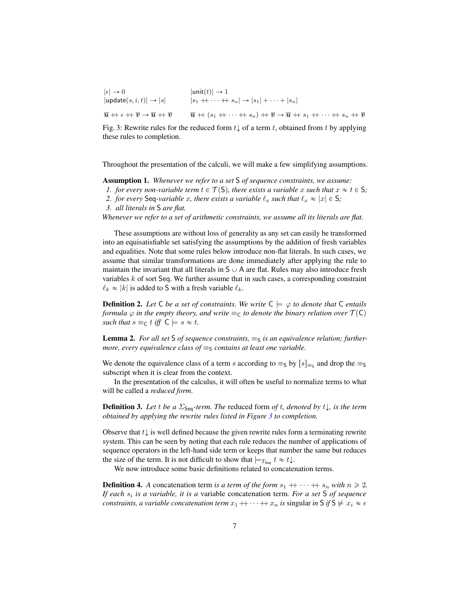<span id="page-6-0"></span>

| $ \epsilon  \to 0$                                                               | $ $ unit $(t)  \rightarrow 1$                                                                                                     |
|----------------------------------------------------------------------------------|-----------------------------------------------------------------------------------------------------------------------------------|
| $ $ update $(s, i, t)  \rightarrow  s $                                          | $ s_1 + \cdots + s_n  \to  s_1  + \cdots +  s_n $                                                                                 |
| $\overline{u} + \epsilon + \overline{v} \rightarrow \overline{u} + \overline{v}$ | $\overline{u}$ + $(s_1 + \cdots + s_n)$ + $\overline{v}$ $\rightarrow$ $\overline{u}$ + $s_1$ + $\cdots$ + $s_n$ + $\overline{v}$ |

Fig. 3: Rewrite rules for the reduced form  $t\downarrow$  of a term t, obtained from t by applying these rules to completion.

<span id="page-6-1"></span>Throughout the presentation of the calculi, we will make a few simplifying assumptions.

Assumption 1. *Whenever we refer to a set* S *of sequence constraints, we assume:*

*1. for every non-variable term*  $t \in \mathcal{T}(S)$ *, there exists a variable* x *such that*  $x \approx t \in S$ *;* 

*2. for every* Seq-variable x, there exists a variable  $\ell_x$  such that  $\ell_x \approx |x| \in S$ ;

*3. all literals in* S *are flat.*

*Whenever we refer to a set of arithmetic constraints, we assume all its literals are flat.*

These assumptions are without loss of generality as any set can easily be transformed into an equisatisfiable set satisfying the assumptions by the addition of fresh variables and equalities. Note that some rules below introduce non-flat literals. In such cases, we assume that similar transformations are done immediately after applying the rule to maintain the invariant that all literals in  $S \cup A$  are flat. Rules may also introduce fresh variables  $k$  of sort Seq. We further assume that in such cases, a corresponding constraint  $\ell_k \approx |k|$  is added to S with a fresh variable  $\ell_k$ .

<span id="page-6-2"></span>**Definition 2.** Let C be a set of constraints. We write  $C \models \varphi$  to denote that C entails *formula*  $\varphi$  *in the empty theory, and write*  $\equiv_C$  *to denote the binary relation over*  $\mathcal{T}(\mathsf{C})$ *such that*  $s \equiv_C t$  *iff*  $C \models s \approx t$ *.* 

<span id="page-6-3"></span>**Lemma 2.** For all set S of sequence constraints,  $\equiv_S$  is an equivalence relation; further*more, every equivalence class of*  $\equiv$ <sub>S</sub> *contains at least one variable.* 

We denote the equivalence class of a term s according to  $\equiv_S$  by  $[s]_{\equiv_S}$  and drop the  $\equiv_S$ subscript when it is clear from the context.

In the presentation of the calculus, it will often be useful to normalize terms to what will be called a *reduced form*.

**Definition 3.** Let t be a  $\Sigma_{\text{Seq}}$ -term. The reduced form of t, denoted by t, is the term *obtained by applying the rewrite rules listed in Figure [3](#page-6-0) to completion.*

Observe that  $t\downarrow$  is well defined because the given rewrite rules form a terminating rewrite system. This can be seen by noting that each rule reduces the number of applications of sequence operators in the left-hand side term or keeps that number the same but reduces the size of the term. It is not difficult to show that  $\models_{T_{\text{Seq}}} t \approx t\downarrow$ .

We now introduce some basic definitions related to concatenation terms.

<span id="page-6-4"></span>**Definition 4.** A concatenation term is a term of the form  $s_1 + \cdots + s_n$  with  $n \geq 2$ . *If each*  $s_i$  *is a variable, it is a variable concatenation term. For a set* S *of sequence constraints, a variable concatenation term*  $x_1 + \cdots + x_n$  *is singular in* S *if* S  $\not\models x_i \approx \epsilon$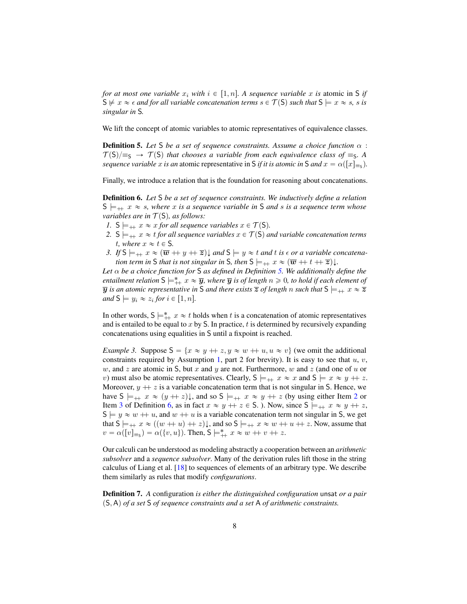*for at most one variable*  $x_i$  *with*  $i \in [1, n]$ *. A sequence variable* x *is* atomic in S *if*  $S \not\models x \approx \epsilon$  and for all variable concatenation terms  $s \in \mathcal{T}(S)$  such that  $S \models x \approx s$ , s is *singular in* S*.*

<span id="page-7-0"></span>We lift the concept of atomic variables to atomic representatives of equivalence classes.

**Definition 5.** Let S be a set of sequence constraints. Assume a choice function  $\alpha$  :  $T(S)/\equiv_S \rightarrow T(S)$  that chooses a variable from each equivalence class of  $\equiv_S$ . A *sequence variable*  $x$  *is an* atomic representative in S *if it is atomic in* S *and*  $x = \alpha([x]_{\equiv_S})$ .

<span id="page-7-3"></span>Finally, we introduce a relation that is the foundation for reasoning about concatenations.

Definition 6. *Let* S *be a set of sequence constraints. We inductively define a relation*  $S \models_{++} x \approx s$ , where x *is a sequence variable in* S *and* s *is a sequence term whose variables are in*  $T(S)$ *, as follows:* 

- <span id="page-7-4"></span>*1.*  $S \models_{++} x \approx x$  *for all sequence variables*  $x \in \mathcal{T}(\mathsf{S})$ *.*
- <span id="page-7-1"></span>2.  $S \models_{++} x \approx t$  *for all sequence variables*  $x \in \mathcal{T}(S)$  *and variable concatenation terms* t, where  $x \approx t \in S$ .
- <span id="page-7-2"></span>*3. If*  $S \models_{++} x \approx (\overline{w} + y + \overline{z}) \downarrow$  and  $S \models y \approx t$  and t is  $\epsilon$  or a variable concatena*tion term in* S *that is not singular in* S, *then*  $S \models_{++} x \approx (\overline{\mathbf{w}} + t + \overline{\mathbf{z}}) \downarrow$ .

*Let* α *be a choice function for* S *as defined in Definition [5.](#page-7-0) We additionally define the* entailment relation  $\mathsf{S} \models^*_+ x \approx \overline{y}$ , where  $\overline{y}$  is of length  $n \geqslant 0$ , to hold if each element of  $\overline{y}$  *is an atomic representative in* S *and there exists*  $\overline{z}$  *of length n such that*  $S \models_{++} x \approx \overline{z}$ *and*  $S \models y_i \approx z_i$  *for*  $i \in [1, n]$ *.* 

In other words,  $S \models^*_{++} x \approx t$  holds when t is a concatenation of atomic representatives and is entailed to be equal to  $x$  by  $S$ . In practice,  $t$  is determined by recursively expanding concatenations using equalities in S until a fixpoint is reached.

*Example 3.* Suppose  $S = \{x \approx y + z, y \approx w + u, u \approx v\}$  (we omit the additional constraints required by Assumption [1,](#page-6-1) part 2 for brevity). It is easy to see that  $u, v$ , w, and z are atomic in S, but x and y are not. Furthermore, w and z (and one of  $u$  or v) must also be atomic representatives. Clearly,  $S \models_{+i} x \approx x$  and  $S \models x \approx y + z$ . Moreover,  $y + z$  is a variable concatenation term that is not singular in S. Hence, we have  $S \models_{+i} x \approx (y + z)\downarrow$ , and so  $S \models_{+i} x \approx y + z$  (by using either Item [2](#page-7-1) or Item [3](#page-7-2) of Definition [6,](#page-7-3) as in fact  $x \approx y + z \in S$ . ). Now, since  $S \models_{++} x \approx y + z$ ,  $S \models y \approx w + u$ , and  $w + u$  is a variable concatenation term not singular in S, we get that  $S \models_{+x} x \approx ((w + u) + z) \downarrow$ , and so  $S \models_{+x} x \approx w + u + z$ . Now, assume that  $v = \alpha([v]_{\equiv s}) = \alpha(\{v, u\})$ . Then,  $S \models^*_{++} x \approx w + v + z$ .

Our calculi can be understood as modeling abstractly a cooperation between an *arithmetic subsolver* and a *sequence subsolver*. Many of the derivation rules lift those in the string calculus of Liang et al. [\[18\]](#page-18-3) to sequences of elements of an arbitrary type. We describe them similarly as rules that modify *configurations*.

Definition 7. *A* configuration *is either the distinguished configuration* unsat *or a pair* pS, Aq *of a set* S *of sequence constraints and a set* A *of arithmetic constraints.*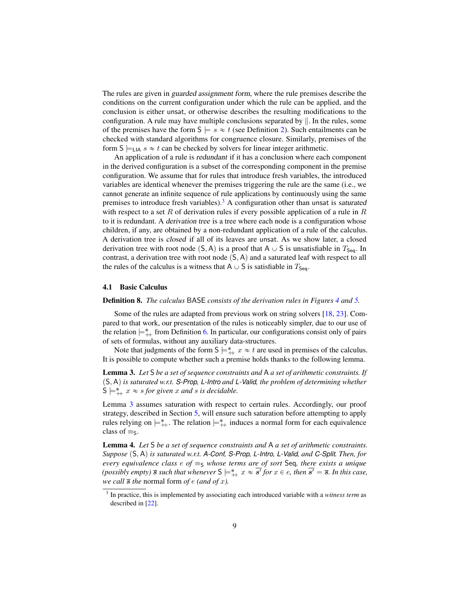The rules are given in guarded assignment form, where the rule premises describe the conditions on the current configuration under which the rule can be applied, and the conclusion is either unsat, or otherwise describes the resulting modifications to the configuration. A rule may have multiple conclusions separated by  $\parallel$ . In the rules, some of the premises have the form  $S \models s \approx t$  (see Definition [2\)](#page-6-2). Such entailments can be checked with standard algorithms for congruence closure. Similarly, premises of the form  $S \models_{\text{LIA}} s \approx t$  can be checked by solvers for linear integer arithmetic.

An application of a rule is redundant if it has a conclusion where each component in the derived configuration is a subset of the corresponding component in the premise configuration. We assume that for rules that introduce fresh variables, the introduced variables are identical whenever the premises triggering the rule are the same (i.e., we cannot generate an infinite sequence of rule applications by continuously using the same premises to introduce fresh variables).<sup>[3](#page-8-0)</sup> A configuration other than unsat is *saturated* with respect to a set  $R$  of derivation rules if every possible application of a rule in  $R$ to it is redundant. A derivation tree is a tree where each node is a configuration whose children, if any, are obtained by a non-redundant application of a rule of the calculus. A derivation tree is closed if all of its leaves are unsat. As we show later, a closed derivation tree with root node  $(S, A)$  is a proof that  $A \cup S$  is unsatisfiable in  $T_{\text{Seq}}$ . In contrast, a derivation tree with root node  $(S, A)$  and a saturated leaf with respect to all the rules of the calculus is a witness that  $A \cup S$  is satisfiable in  $T_{\text{Seq}}$ .

#### 4.1 Basic Calculus

#### Definition 8. *The calculus* BASE *consists of the derivation rules in Figures [4](#page-9-0) and [5.](#page-10-0)*

Some of the rules are adapted from previous work on string solvers [\[18,](#page-18-3) [23\]](#page-18-4). Compared to that work, our presentation of the rules is noticeably simpler, due to our use of the relation  $\models^*_{++}$  from Definition [6.](#page-7-3) In particular, our configurations consist only of pairs of sets of formulas, without any auxiliary data-structures.

Note that judgments of the form  $S \models^* _{++} x \approx t$  are used in premises of the calculus. It is possible to compute whether such a premise holds thanks to the following lemma.

<span id="page-8-1"></span>Lemma 3. *Let* S *be a set of sequence constraints and* A *a set of arithmetic constraints. If* pS, Aq *is saturated w.r.t. S-Prop, L-Intro and L-Valid, the problem of determining whether*  $S \models^* _{++} x \approx s$  *for given* x *and* s *is decidable.* 

Lemma [3](#page-8-1) assumes saturation with respect to certain rules. Accordingly, our proof strategy, described in Section [5,](#page-13-0) will ensure such saturation before attempting to apply rules relying on  $\models^*_{++}$ . The relation  $\models^*_{++}$  induces a normal form for each equivalence class of  $\equiv_S$ .

<span id="page-8-2"></span>Lemma 4. *Let* S *be a set of sequence constraints and* A *a set of arithmetic constraints. Suppose* pS, Aq *is saturated w.r.t. A-Conf, S-Prop, L-Intro, L-Valid, and C-Split. Then, for every equivalence class*  $e$  *of*  $\equiv$  *s whose terms are of sort* Seq, *there exists a unique (possibly empty)*  $\overline{s}$  *such that whenever*  $S \models^* _{++} x \approx \overline{s'}$  *for*  $x \in e$ *, then*  $\overline{s'} = \overline{s}$ *. In this case, we call*  $\overline{s}$  *the* normal form *of*  $e$  *(and of x).* 

<span id="page-8-0"></span><sup>3</sup> In practice, this is implemented by associating each introduced variable with a *witness term* as described in [\[22\]](#page-18-5).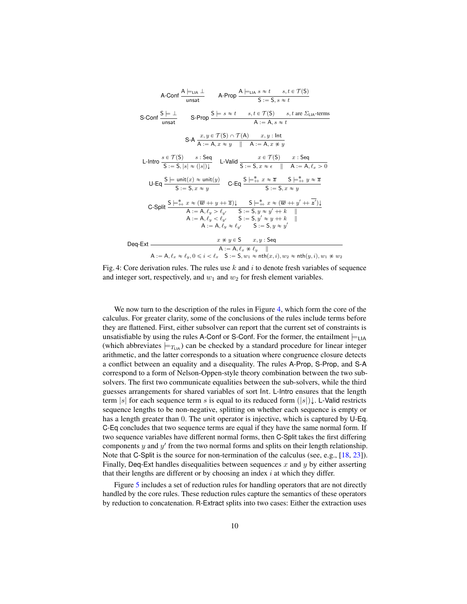<span id="page-9-0"></span>

| A-Conf $\frac{A \models_{\text{LIA}} \bot}{\text{max}}$ A-Prop $\frac{A \models_{\text{LIA}} s \approx t \quad s, t \in \mathcal{T}(S)}{S := S, s \approx t}$                                                                                                                                                                              |
|--------------------------------------------------------------------------------------------------------------------------------------------------------------------------------------------------------------------------------------------------------------------------------------------------------------------------------------------|
| S-Conf $\frac{S \models \bot}{\text{unsat}}$ S-Prop $\frac{S \models s \approx t \quad s, t \in \mathcal{T}(S) \quad s, t \text{ are } \Sigma_{\text{LA}}\text{-terms}}{A := A, s \approx t}$                                                                                                                                              |
| S-A $\frac{x, y \in \mathcal{T}(\mathsf{S}) \cap \mathcal{T}(\mathsf{A})}{\mathsf{A} := \mathsf{A} \cdot x \approx y \quad    \quad \mathsf{A} := \mathsf{A} \cdot x \not\approx y}$                                                                                                                                                       |
| L-Intro $\frac{s \in \mathcal{T}(S)}{S := S,  s  \approx ( s ) \perp}$ L-Valid $\frac{x \in \mathcal{T}(S)}{S := S, x \approx \epsilon}$ $\frac{x \in \mathcal{T}(S)}{A := A, \ell_x > 0}$                                                                                                                                                 |
| U-Eq $\frac{S \models \text{unit}(x) \approx \text{unit}(y)}{S := S \cdot x \approx y}$ C-Eq $\frac{S \models_{++}^* x \approx \overline{z}}{S := S \cdot x \approx y}$                                                                                                                                                                    |
| C-Split $\frac{S\models_{++}^* x \approx (\overline{w} + y + \overline{z})\downarrow}{A := A, \ell_y > \ell_{y'}}$ $\frac{S\models_{++}^* x \approx (\overline{w} + y' + z')\downarrow}{S := S, y \approx y' + k}$<br>$A := A, \ell_y < \ell_{y'}$ $S := S, y' \approx y + k$<br>$A := A, \ell_u \approx \ell_{u'}$ $S := S, u \approx u'$ |
| $x \not\approx y \in \mathsf{S}$ $x, y : \mathsf{Seq}$<br>Deq-Ext $-$                                                                                                                                                                                                                                                                      |
| $A := A, \ell_{\tau} \not\approx \ell_{\tau}$   <br>$A := A, \ell_x \approx \ell_y, 0 \leq i < \ell_x$ $S := S, w_1 \approx \text{nth}(x, i), w_2 \approx \text{nth}(y, i), w_1 \not\approx w_2$                                                                                                                                           |

Fig. 4: Core derivation rules. The rules use  $k$  and  $i$  to denote fresh variables of sequence and integer sort, respectively, and  $w_1$  and  $w_2$  for fresh element variables.

We now turn to the description of the rules in Figure [4,](#page-9-0) which form the core of the calculus. For greater clarity, some of the conclusions of the rules include terms before they are flattened. First, either subsolver can report that the current set of constraints is unsatisfiable by using the rules A-Conf or S-Conf. For the former, the entailment  $\models$ LIA (which abbreviates  $\vert z_{T_{\text{L}}}\vert$ ) can be checked by a standard procedure for linear integer arithmetic, and the latter corresponds to a situation where congruence closure detects a conflict between an equality and a disequality. The rules A-Prop, S-Prop, and S-A correspond to a form of Nelson-Oppen-style theory combination between the two subsolvers. The first two communicate equalities between the sub-solvers, while the third guesses arrangements for shared variables of sort Int. L-Intro ensures that the length term |s| for each sequence term s is equal to its reduced form  $(|s|\rangle)$ . L-Valid restricts sequence lengths to be non-negative, splitting on whether each sequence is empty or has a length greater than 0. The unit operator is injective, which is captured by U-Eq. C-Eq concludes that two sequence terms are equal if they have the same normal form. If two sequence variables have different normal forms, then C-Split takes the first differing components  $y$  and  $y'$  from the two normal forms and splits on their length relationship. Note that C-Split is the source for non-termination of the calculus (see, e.g., [\[18,](#page-18-3) [23\]](#page-18-4)). Finally, Deq-Ext handles disequalities between sequences  $x$  and  $y$  by either asserting that their lengths are different or by choosing an index  $i$  at which they differ.

Figure [5](#page-10-0) includes a set of reduction rules for handling operators that are not directly handled by the core rules. These reduction rules capture the semantics of these operators by reduction to concatenation. R-Extract splits into two cases: Either the extraction uses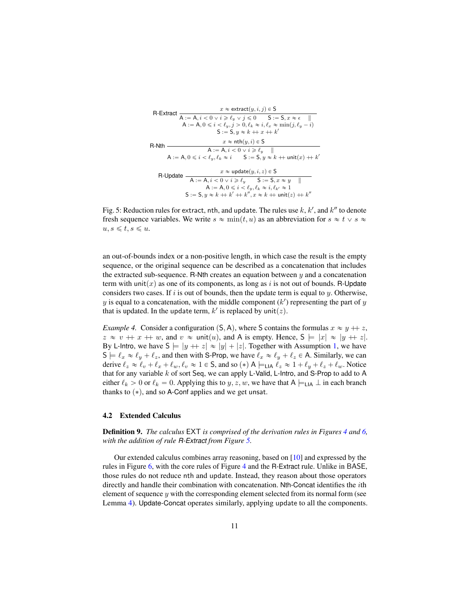<span id="page-10-0"></span>

| R-Extract | $x \approx$ extract $(y, i, j) \in S$                                                        |
|-----------|----------------------------------------------------------------------------------------------|
|           | $A := A, i < 0 \vee i \geq \ell_u \vee j \leq 0$ $S := S, x \approx \epsilon$                |
|           | $A := A, 0 \leq i < \ell_u, j > 0, \ell_k \approx i, \ell_x \approx \min(j, \ell_u - i)$     |
|           | $S := S, y \approx k + x + k'$                                                               |
| R-Nth     | $x \approx \operatorname{nth}(y, i) \in \mathsf{S}$                                          |
|           | $A := A, i < 0 \vee i \geq \ell_{u}$                                                         |
|           | $A := A, 0 \leq i \leq \ell_y, \ell_k \approx i$ $S := S, y \approx k + \text{unit}(x) + k'$ |
| R-Update  | $x \approx$ update $(y, i, z) \in S$                                                         |
|           | $A := A, i < 0 \lor i \ge \ell_y$ $S := S, x \approx y$                                      |
|           | $A := A, 0 \leq i < \ell_u, \ell_k \approx i, \ell_{k'} \approx 1$                           |
|           | $S := S, y \approx k + k' + k'', x \approx k + \text{unit}(z) + k''$                         |

Fig. 5: Reduction rules for extract, nth, and update. The rules use  $k, k'$ , and  $k''$  to denote fresh sequence variables. We write  $s \approx \min(t, u)$  as an abbreviation for  $s \approx t \vee s \approx$  $u, s \leq t, s \leq u$ .

an out-of-bounds index or a non-positive length, in which case the result is the empty sequence, or the original sequence can be described as a concatenation that includes the extracted sub-sequence. R-Nth creates an equation between  $y$  and a concatenation term with unit(x) as one of its components, as long as i is not out of bounds. R-Update considers two cases. If  $i$  is out of bounds, then the update term is equal to  $y$ . Otherwise, y is equal to a concatenation, with the middle component  $(k')$  representing the part of y that is updated. In the update term,  $k'$  is replaced by unit $(z)$ .

*Example 4.* Consider a configuration  $(S, A)$ , where S contains the formulas  $x \approx y + z$ ,  $z \approx v + x + w$ , and  $v \approx \text{unit}(u)$ , and A is empty. Hence,  $S = |x| \approx |y + z|$ . By L-Intro, we have  $S \models |y + z| \approx |y| + |z|$ . Together with Assumption [1,](#page-6-1) we have  $S \models \ell_x \approx \ell_y + \ell_z$ , and then with S-Prop, we have  $\ell_x \approx \ell_y + \ell_z \in A$ . Similarly, we can derive  $\ell_z \approx \ell_v + \ell_x + \ell_w, \ell_v \approx 1 \in S$ , and so  $(*)$  A  $\models$ LIA  $\ell_z \approx 1 + \ell_y + \ell_z + \ell_w$ . Notice that for any variable  $k$  of sort Seq, we can apply L-Valid, L-Intro, and S-Prop to add to A either  $\ell_k > 0$  or  $\ell_k = 0$ . Applying this to  $y, z, w$ , we have that A  $\models$ LIA  $\bot$  in each branch thanks to  $(*)$ , and so A-Conf applies and we get unsat.

#### 4.2 Extended Calculus

Definition 9. *The calculus* EXT *is comprised of the derivation rules in Figures [4](#page-9-0) and [6,](#page-12-0) with the addition of rule R-Extract from Figure [5.](#page-10-0)*

Our extended calculus combines array reasoning, based on [\[10\]](#page-17-8) and expressed by the rules in Figure [6,](#page-12-0) with the core rules of Figure [4](#page-9-0) and the R-Extract rule. Unlike in BASE, those rules do not reduce nth and update. Instead, they reason about those operators directly and handle their combination with concatenation. Nth-Concat identifies the *i*th element of sequence  $y$  with the corresponding element selected from its normal form (see Lemma [4\)](#page-8-2). Update-Concat operates similarly, applying update to all the components.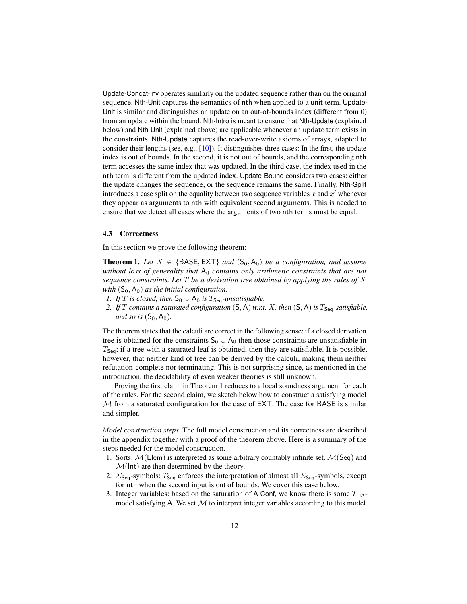Update-Concat-Inv operates similarly on the updated sequence rather than on the original sequence. Nth-Unit captures the semantics of nth when applied to a unit term. Update-Unit is similar and distinguishes an update on an out-of-bounds index (different from 0) from an update within the bound. Nth-Intro is meant to ensure that Nth-Update (explained below) and Nth-Unit (explained above) are applicable whenever an update term exists in the constraints. Nth-Update captures the read-over-write axioms of arrays, adapted to consider their lengths (see, e.g.,  $[10]$ ). It distinguishes three cases: In the first, the update index is out of bounds. In the second, it is not out of bounds, and the corresponding nth term accesses the same index that was updated. In the third case, the index used in the nth term is different from the updated index. Update-Bound considers two cases: either the update changes the sequence, or the sequence remains the same. Finally, Nth-Split introduces a case split on the equality between two sequence variables x and  $x'$  whenever they appear as arguments to nth with equivalent second arguments. This is needed to ensure that we detect all cases where the arguments of two nth terms must be equal.

#### 4.3 Correctness

In this section we prove the following theorem:

<span id="page-11-0"></span>**Theorem 1.** Let  $X \in \{BASE, EXT\}$  and  $(S_0, A_0)$  be a configuration, and assume *without loss of generality that* A<sub>0</sub> *contains only arithmetic constraints that are not sequence constraints. Let* T *be a derivation tree obtained by applying the rules of* X *with*  $(S_0, A_0)$  *as the initial configuration.* 

- <span id="page-11-3"></span>*1. If T is closed, then*  $S_0 \cup A_0$  *is*  $T_{\text{Seq}}$ *-unsatisfiable.*
- <span id="page-11-4"></span>2. If  $T$  contains a saturated configuration  $(S, A)$  w.r.t.  $X$ , then  $(S, A)$  is  $T_{\text{Seq}}$ -satisfiable, *and so is*  $(S_0, A_0)$ *.*

The theorem states that the calculi are correct in the following sense: if a closed derivation tree is obtained for the constraints  $S_0 \cup A_0$  then those constraints are unsatisfiable in  $T<sub>Seq</sub>$ ; if a tree with a saturated leaf is obtained, then they are satisfiable. It is possible, however, that neither kind of tree can be derived by the calculi, making them neither refutation-complete nor terminating. This is not surprising since, as mentioned in the introduction, the decidability of even weaker theories is still unknown.

Proving the first claim in Theorem [1](#page-11-0) reduces to a local soundness argument for each of the rules. For the second claim, we sketch below how to construct a satisfying model M from a saturated configuration for the case of EXT. The case for BASE is similar and simpler.

*Model construction steps* The full model construction and its correctness are described in the appendix together with a proof of the theorem above. Here is a summary of the steps needed for the model construction.

- <span id="page-11-1"></span>1. Sorts:  $M(\text{Elem})$  is interpreted as some arbitrary countably infinite set.  $M(\text{Seq})$  and  $M(\text{Int})$  are then determined by the theory.
- 2.  $\Sigma_{\text{Seq}}$ -symbols:  $T_{\text{Seq}}$  enforces the interpretation of almost all  $\Sigma_{\text{Seq}}$ -symbols, except for nth when the second input is out of bounds. We cover this case below.
- <span id="page-11-2"></span>3. Integer variables: based on the saturation of A-Conf, we know there is some  $T_{L|A}$ model satisfying A. We set  $M$  to interpret integer variables according to this model.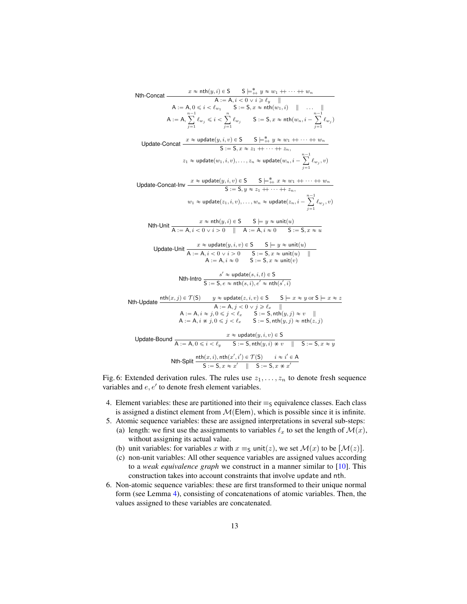<span id="page-12-0"></span>Nth-Concat  
\n
$$
x \approx nth(y, i) \in S \quad S \models^*_{++} y \approx w_1 + \cdots + w_n
$$
\n
$$
A := A, i < 0 \lor i \geq \ell_y \parallel
$$
\n
$$
A := A, 0 \leq i < \ell_{w_1} \quad S := S, x \approx nth(w_1, i) \parallel \cdots \parallel
$$
\n
$$
A := A, \sum_{j=1}^{n-1} \ell_{w_j} \leq i < \sum_{j=1}^{n} \ell_{w_j} \quad S := S, x \approx nth(w_n, i - \sum_{j=1}^{n-1} \ell_{w_j})
$$
\nUpdate-Concat  
\n
$$
\frac{x \approx update(y, i, v) \in S \quad S \models^*_{++} y \approx w_1 + \cdots + w_n}{S := S, x \approx z_1 + \cdots + z_n},
$$
\n
$$
z_1 \approx update(w_1, i, v), \dots, z_n \approx update(w_n, i - \sum_{j=1}^{n-1} \ell_{w_j}, v)
$$
\nUpdate-Concat-Inv  
\n
$$
\frac{x \approx update(y, i, v) \in S \quad S \models^*_{++} x \approx w_1 + \cdots + w_n}{S := S, y \approx z_1 + \cdots + z_n},
$$
\n
$$
w_1 \approx update(z_1, i, v), \dots, w_n \approx update(z_n, i - \sum_{j=1}^{n-1} \ell_{w_j}, v)
$$
\nNth-Unit  
\n
$$
\frac{x \approx nth(y, i) \in S \quad S \models y \approx unit(u)}{A := A, i < 0 \lor i > 0 \quad A := A, i \approx 0 \quad S := S, x \approx u
$$
\nUpdate-Unit  
\n
$$
\frac{x \approx update(y, i, v) \in S \quad S \models y \approx unit(u)}{A := A, i \approx 0 \quad S := S, x \approx unit(u)}
$$
\n
$$
\frac{s' \approx update(s, i, t) \in S}{A := A, i \approx 0 \quad S := S, x \approx unit(u)}
$$
\nNth-Info  
\n
$$
\frac{s' \approx update(z, i, v) \in S \quad S = x \approx y \text{ or } S \models x \approx z \text{ or } S \neq x \text{ or } S \neq x \text{ or } S \neq x \text{ or } S \neq x \text{ or } S \
$$

Fig. 6: Extended derivation rules. The rules use  $z_1, \ldots, z_n$  to denote fresh sequence variables and  $e, e'$  to denote fresh element variables.

- <span id="page-12-1"></span>4. Element variables: these are partitioned into their  $\equiv_S$  equivalence classes. Each class is assigned a distinct element from  $M(Element)$ , which is possible since it is infinite.
- <span id="page-12-3"></span><span id="page-12-2"></span>5. Atomic sequence variables: these are assigned interpretations in several sub-steps:
	- (a) length: we first use the assignments to variables  $\ell_x$  to set the length of  $\mathcal{M}(x)$ , without assigning its actual value.
	- (b) unit variables: for variables x with  $x \equiv_S \text{unit}(z)$ , we set  $\mathcal{M}(x)$  to be  $[\mathcal{M}(z)]$ .
	- (c) non-unit variables: All other sequence variables are assigned values according to a *weak equivalence graph* we construct in a manner similar to [\[10\]](#page-17-8). This construction takes into account constraints that involve update and nth.
- <span id="page-12-5"></span><span id="page-12-4"></span>6. Non-atomic sequence variables: these are first transformed to their unique normal form (see Lemma [4\)](#page-8-2), consisting of concatenations of atomic variables. Then, the values assigned to these variables are concatenated.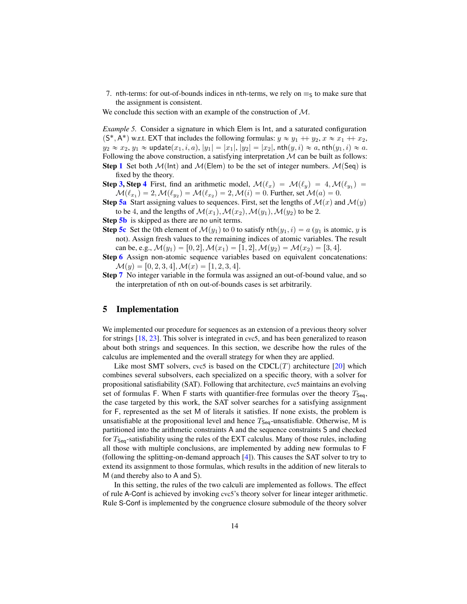<span id="page-13-1"></span>7. nth-terms: for out-of-bounds indices in nth-terms, we rely on  $\equiv_S$  to make sure that the assignment is consistent.

We conclude this section with an example of the construction of M.

*Example 5.* Consider a signature in which Elem is Int, and a saturated configuration  $(S^*, A^*)$  w.r.t. EXT that includes the following formulas:  $y \approx y_1 + y_2, x \approx x_1 + x_2$ ,  $y_2 \approx x_2, y_1 \approx \text{update}(x_1, i, a), |y_1| = |x_1|, |y_2| = |x_2|, \text{nth}(y, i) \approx a, \text{nth}(y_1, i) \approx a.$ Following the above construction, a satisfying interpretation  $\mathcal M$  can be built as follows: **Step [1](#page-11-1)** Set both  $M(\text{Int})$  and  $M(\text{Elem})$  to be the set of integer numbers.  $M(\text{Seq})$  is fixed by the theory.

**Step [3,](#page-11-2) Step [4](#page-12-1)** First, find an arithmetic model,  $\mathcal{M}(\ell_x) = \mathcal{M}(\ell_y) = 4, \mathcal{M}(\ell_{y_1}) = 4$  $\mathcal{M}(\ell_{x_1}) = 2, \mathcal{M}(\ell_{y_2}) = \mathcal{M}(\ell_{x_2}) = 2, \mathcal{M}(i) = 0.$  Further, set  $\mathcal{M}(a) = 0.$ 

- **Step [5a](#page-12-2)** Start assigning values to sequences. First, set the lengths of  $\mathcal{M}(x)$  and  $\mathcal{M}(y)$ to be 4, and the lengths of  $\mathcal{M}(x_1),\mathcal{M}(x_2),\mathcal{M}(y_1),\mathcal{M}(y_2)$  to be 2.
- Step [5b](#page-12-3) is skipped as there are no unit terms.
- **Step [5c](#page-12-4)** Set the 0th element of  $\mathcal{M}(y_1)$  to 0 to satisfy nth $(y_1, i) = a (y_1)$  is atomic, y is not). Assign fresh values to the remaining indices of atomic variables. The result can be, e.g.,  $\mathcal{M}(y_1) = [0, 2], \mathcal{M}(x_1) = [1, 2], \mathcal{M}(y_2) = \mathcal{M}(x_2) = [3, 4].$
- Step [6](#page-12-5) Assign non-atomic sequence variables based on equivalent concatenations:  $\mathcal{M}(y) = [0, 2, 3, 4], \mathcal{M}(x) = [1, 2, 3, 4].$
- Step [7](#page-13-1) No integer variable in the formula was assigned an out-of-bound value, and so the interpretation of nth on out-of-bounds cases is set arbitrarily.

# <span id="page-13-0"></span>5 Implementation

We implemented our procedure for sequences as an extension of a previous theory solver for strings [\[18,](#page-18-3) [23\]](#page-18-4). This solver is integrated in cvc5, and has been generalized to reason about both strings and sequences. In this section, we describe how the rules of the calculus are implemented and the overall strategy for when they are applied.

Like most SMT solvers, cvc5 is based on the CDCL $(T)$  architecture [\[20\]](#page-18-6) which combines several subsolvers, each specialized on a specific theory, with a solver for propositional satisfiability (SAT). Following that architecture, cvc5 maintains an evolving set of formulas F. When F starts with quantifier-free formulas over the theory  $T_{\text{Seq}}$ , the case targeted by this work, the SAT solver searches for a satisfying assignment for F, represented as the set M of literals it satisfies. If none exists, the problem is unsatisfiable at the propositional level and hence  $T_{\text{Seq}}$ -unsatisfiable. Otherwise, M is partitioned into the arithmetic constraints A and the sequence constraints S and checked for  $T_{\text{Seq}}$ -satisfiability using the rules of the EXT calculus. Many of those rules, including all those with multiple conclusions, are implemented by adding new formulas to F (following the splitting-on-demand approach [\[4\]](#page-17-15)). This causes the SAT solver to try to extend its assignment to those formulas, which results in the addition of new literals to M (and thereby also to A and S).

In this setting, the rules of the two calculi are implemented as follows. The effect of rule A-Conf is achieved by invoking cvc5's theory solver for linear integer arithmetic. Rule S-Conf is implemented by the congruence closure submodule of the theory solver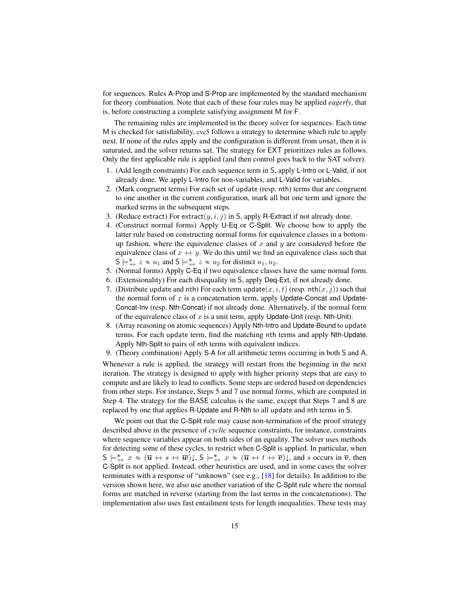for sequences. Rules A-Prop and S-Prop are implemented by the standard mechanism for theory combination. Note that each of these four rules may be applied *eagerly*, that is, before constructing a complete satisfying assignment M for F.

The remaining rules are implemented in the theory solver for sequences. Each time M is checked for satisfiability, cvc5 follows a strategy to determine which rule to apply next. If none of the rules apply and the configuration is different from unsat, then it is saturated, and the solver returns sat. The strategy for EXT prioritizes rules as follows. Only the first applicable rule is applied (and then control goes back to the SAT solver).

- 1. (Add length constraints) For each sequence term in S, apply L-Intro or L-Valid, if not already done. We apply L-Intro for non-variables, and L-Valid for variables.
- 2. (Mark congruent terms) For each set of update (resp. nth) terms that are congruent to one another in the current configuration, mark all but one term and ignore the marked terms in the subsequent steps.
- 3. (Reduce extract) For extract $(y, i, j)$  in S, apply R-Extract if not already done.
- 4. (Construct normal forms) Apply U-Eq or C-Split. We choose how to apply the latter rule based on constructing normal forms for equivalence classes in a bottomup fashion, where the equivalence classes of x and  $y$  are considered before the equivalence class of  $x + y$ . We do this until we find an equivalence class such that  $\mathsf{S} \models^*_{+t} z \approx u_1$  and  $\mathsf{S} \models^*_{+t} z \approx u_2$  for distinct  $u_1, u_2$ .
- 5. (Normal forms) Apply C-Eq if two equivalence classes have the same normal form.
- 6. (Extensionality) For each disequality in S, apply Deq-Ext, if not already done.
- 7. (Distribute update and nth) For each term update $(x, i, t)$  (resp. nth $(x, j)$ ) such that the normal form of  $x$  is a concatenation term, apply Update-Concat and Update-Concat-Inv (resp. Nth-Concat) if not already done. Alternatively, if the normal form of the equivalence class of x is a unit term, apply Update-Unit (resp. Nth-Unit).
- 8. (Array reasoning on atomic sequences) Apply Nth-Intro and Update-Bound to update terms. For each update term, find the matching nth terms and apply Nth-Update. Apply Nth-Split to pairs of nth terms with equivalent indices.
- 9. (Theory combination) Apply S-A for all arithmetic terms occurring in both S and A.

Whenever a rule is applied, the strategy will restart from the beginning in the next iteration. The strategy is designed to apply with higher priority steps that are easy to compute and are likely to lead to conflicts. Some steps are ordered based on dependencies from other steps. For instance, Steps 5 and 7 use normal forms, which are computed in Step 4. The strategy for the BASE calculus is the same, except that Steps 7 and 8 are replaced by one that applies R-Update and R-Nth to all update and nth terms in S.

We point out that the C-Split rule may cause non-termination of the proof strategy described above in the presence of *cyclic* sequence constraints, for instance, constraints where sequence variables appear on both sides of an equality. The solver uses methods for detecting some of these cycles, to restrict when C-Split is applied. In particular, when  $S \models^* _{++} x \approx (\overline{u} + s + \overline{w}) \downarrow$ ,  $S \models^* _{++} x \approx (\overline{u} + t + \overline{v}) \downarrow$ , and s occurs in  $\overline{v}$ , then C-Split is not applied. Instead, other heuristics are used, and in some cases the solver terminates with a response of "unknown" (see e.g., [\[18\]](#page-18-3) for details). In addition to the version shown here, we also use another variation of the C-Split rule where the normal forms are matched in reverse (starting from the last terms in the concatenations). The implementation also uses fast entailment tests for length inequalities. These tests may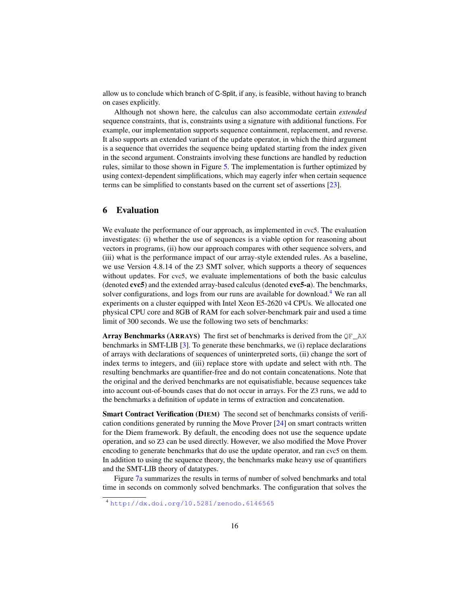allow us to conclude which branch of C-Split, if any, is feasible, without having to branch on cases explicitly.

Although not shown here, the calculus can also accommodate certain *extended* sequence constraints, that is, constraints using a signature with additional functions. For example, our implementation supports sequence containment, replacement, and reverse. It also supports an extended variant of the update operator, in which the third argument is a sequence that overrides the sequence being updated starting from the index given in the second argument. Constraints involving these functions are handled by reduction rules, similar to those shown in Figure [5.](#page-10-0) The implementation is further optimized by using context-dependent simplifications, which may eagerly infer when certain sequence terms can be simplified to constants based on the current set of assertions [\[23\]](#page-18-4).

# <span id="page-15-0"></span>6 Evaluation

We evaluate the performance of our approach, as implemented in cvc5. The evaluation investigates: (i) whether the use of sequences is a viable option for reasoning about vectors in programs, (ii) how our approach compares with other sequence solvers, and (iii) what is the performance impact of our array-style extended rules. As a baseline, we use Version 4.8.14 of the Z3 SMT solver, which supports a theory of sequences without updates. For cvc5, we evaluate implementations of both the basic calculus (denoted cvc5) and the extended array-based calculus (denoted cvc5-a). The benchmarks, solver configurations, and logs from our runs are available for download.<sup>[4](#page-15-1)</sup> We ran all experiments on a cluster equipped with Intel Xeon E5-2620 v4 CPUs. We allocated one physical CPU core and 8GB of RAM for each solver-benchmark pair and used a time limit of 300 seconds. We use the following two sets of benchmarks:

**Array Benchmarks (ARRAYS)** The first set of benchmarks is derived from the  $QF$  AX benchmarks in SMT-LIB [\[3\]](#page-17-1). To generate these benchmarks, we (i) replace declarations of arrays with declarations of sequences of uninterpreted sorts, (ii) change the sort of index terms to integers, and (iii) replace store with update and select with nth. The resulting benchmarks are quantifier-free and do not contain concatenations. Note that the original and the derived benchmarks are not equisatisfiable, because sequences take into account out-of-bounds cases that do not occur in arrays. For the Z3 runs, we add to the benchmarks a definition of update in terms of extraction and concatenation.

Smart Contract Verification (DIEM) The second set of benchmarks consists of verification conditions generated by running the Move Prover [\[24\]](#page-18-0) on smart contracts written for the Diem framework. By default, the encoding does not use the sequence update operation, and so Z3 can be used directly. However, we also modified the Move Prover encoding to generate benchmarks that do use the update operator, and ran cvc5 on them. In addition to using the sequence theory, the benchmarks make heavy use of quantifiers and the SMT-LIB theory of datatypes.

Figure [7a](#page-16-1) summarizes the results in terms of number of solved benchmarks and total time in seconds on commonly solved benchmarks. The configuration that solves the

<span id="page-15-1"></span><sup>4</sup> <http://dx.doi.org/10.5281/zenodo.6146565>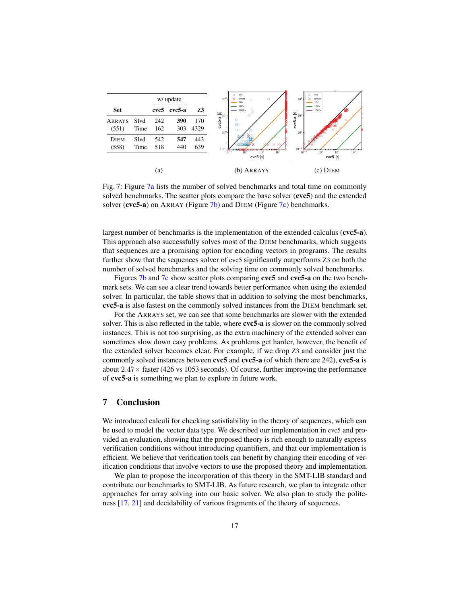<span id="page-16-1"></span>

Fig. 7: Figure [7a](#page-16-1) lists the number of solved benchmarks and total time on commonly solved benchmarks. The scatter plots compare the base solver (cvc5) and the extended solver (cvc5-a) on ARRAY (Figure  $7b$ ) and DIEM (Figure  $7c$ ) benchmarks.

largest number of benchmarks is the implementation of the extended calculus (cvc5-a). This approach also successfully solves most of the DIEM benchmarks, which suggests that sequences are a promising option for encoding vectors in programs. The results further show that the sequences solver of cvc5 significantly outperforms Z3 on both the number of solved benchmarks and the solving time on commonly solved benchmarks.

Figures [7b](#page-16-1) and [7c](#page-16-1) show scatter plots comparing cvc5 and cvc5-a on the two benchmark sets. We can see a clear trend towards better performance when using the extended solver. In particular, the table shows that in addition to solving the most benchmarks, cvc5-a is also fastest on the commonly solved instances from the DIEM benchmark set.

For the ARRAYS set, we can see that some benchmarks are slower with the extended solver. This is also reflected in the table, where cvc5-a is slower on the commonly solved instances. This is not too surprising, as the extra machinery of the extended solver can sometimes slow down easy problems. As problems get harder, however, the benefit of the extended solver becomes clear. For example, if we drop Z3 and consider just the commonly solved instances between **cvc5** and **cvc5-a** (of which there are 242), **cvc5-a** is about  $2.47\times$  faster (426 vs 1053 seconds). Of course, further improving the performance of cvc5-a is something we plan to explore in future work.

# <span id="page-16-0"></span>7 Conclusion

We introduced calculi for checking satisfiability in the theory of sequences, which can be used to model the vector data type. We described our implementation in cvc5 and provided an evaluation, showing that the proposed theory is rich enough to naturally express verification conditions without introducing quantifiers, and that our implementation is efficient. We believe that verification tools can benefit by changing their encoding of verification conditions that involve vectors to use the proposed theory and implementation.

We plan to propose the incorporation of this theory in the SMT-LIB standard and contribute our benchmarks to SMT-LIB. As future research, we plan to integrate other approaches for array solving into our basic solver. We also plan to study the politeness [\[17,](#page-17-5) [21\]](#page-18-2) and decidability of various fragments of the theory of sequences.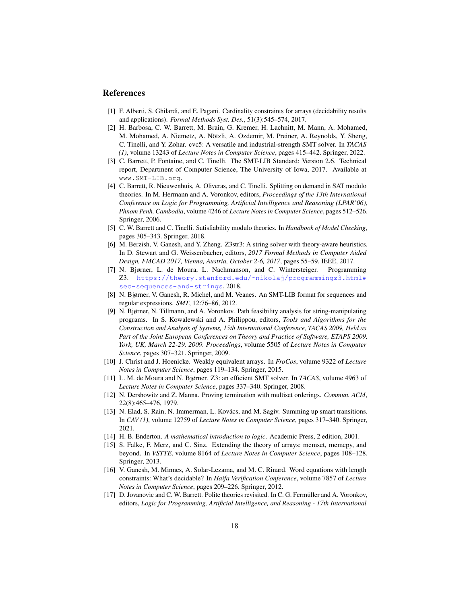# References

- <span id="page-17-9"></span>[1] F. Alberti, S. Ghilardi, and E. Pagani. Cardinality constraints for arrays (decidability results and applications). *Formal Methods Syst. Des.*, 51(3):545–574, 2017.
- <span id="page-17-4"></span>[2] H. Barbosa, C. W. Barrett, M. Brain, G. Kremer, H. Lachnitt, M. Mann, A. Mohamed, M. Mohamed, A. Niemetz, A. Notzli, A. Ozdemir, M. Preiner, A. Reynolds, Y. Sheng, ¨ C. Tinelli, and Y. Zohar. cvc5: A versatile and industrial-strength SMT solver. In *TACAS (1)*, volume 13243 of *Lecture Notes in Computer Science*, pages 415–442. Springer, 2022.
- <span id="page-17-1"></span>[3] C. Barrett, P. Fontaine, and C. Tinelli. The SMT-LIB Standard: Version 2.6. Technical report, Department of Computer Science, The University of Iowa, 2017. Available at www.SMT-LIB.org.
- <span id="page-17-15"></span>[4] C. Barrett, R. Nieuwenhuis, A. Oliveras, and C. Tinelli. Splitting on demand in SAT modulo theories. In M. Hermann and A. Voronkov, editors, *Proceedings of the 13th International Conference on Logic for Programming, Artificial Intelligence and Reasoning (LPAR'06), Phnom Penh, Cambodia*, volume 4246 of *Lecture Notes in Computer Science*, pages 512–526. Springer, 2006.
- <span id="page-17-0"></span>[5] C. W. Barrett and C. Tinelli. Satisfiability modulo theories. In *Handbook of Model Checking*, pages 305–343. Springer, 2018.
- <span id="page-17-7"></span>[6] M. Berzish, V. Ganesh, and Y. Zheng. Z3str3: A string solver with theory-aware heuristics. In D. Stewart and G. Weissenbacher, editors, *2017 Formal Methods in Computer Aided Design, FMCAD 2017, Vienna, Austria, October 2-6, 2017*, pages 55–59. IEEE, 2017.
- <span id="page-17-13"></span>[7] N. Bjørner, L. de Moura, L. Nachmanson, and C. Wintersteiger. Programming Z3. [https://theory.stanford.edu/˜nikolaj/programmingz3.html#](https://theory.stanford.edu/~nikolaj/programmingz3.html#sec-sequences-and-strings) [sec-sequences-and-strings](https://theory.stanford.edu/~nikolaj/programmingz3.html#sec-sequences-and-strings), 2018.
- <span id="page-17-6"></span>[8] N. Bjørner, V. Ganesh, R. Michel, and M. Veanes. An SMT-LIB format for sequences and regular expressions. *SMT*, 12:76–86, 2012.
- <span id="page-17-2"></span>[9] N. Bjørner, N. Tillmann, and A. Voronkov. Path feasibility analysis for string-manipulating programs. In S. Kowalewski and A. Philippou, editors, *Tools and Algorithms for the Construction and Analysis of Systems, 15th International Conference, TACAS 2009, Held as Part of the Joint European Conferences on Theory and Practice of Software, ETAPS 2009, York, UK, March 22-29, 2009. Proceedings*, volume 5505 of *Lecture Notes in Computer Science*, pages 307–321. Springer, 2009.
- <span id="page-17-8"></span>[10] J. Christ and J. Hoenicke. Weakly equivalent arrays. In *FroCos*, volume 9322 of *Lecture Notes in Computer Science*, pages 119–134. Springer, 2015.
- <span id="page-17-12"></span>[11] L. M. de Moura and N. Bjørner. Z3: an efficient SMT solver. In *TACAS*, volume 4963 of *Lecture Notes in Computer Science*, pages 337–340. Springer, 2008.
- <span id="page-17-16"></span>[12] N. Dershowitz and Z. Manna. Proving termination with multiset orderings. *Commun. ACM*, 22(8):465–476, 1979.
- <span id="page-17-10"></span>[13] N. Elad, S. Rain, N. Immerman, L. Kovács, and M. Sagiv. Summing up smart transitions. In *CAV (1)*, volume 12759 of *Lecture Notes in Computer Science*, pages 317–340. Springer, 2021.
- <span id="page-17-14"></span>[14] H. B. Enderton. *A mathematical introduction to logic*. Academic Press, 2 edition, 2001.
- <span id="page-17-11"></span>[15] S. Falke, F. Merz, and C. Sinz. Extending the theory of arrays: memset, memcpy, and beyond. In *VSTTE*, volume 8164 of *Lecture Notes in Computer Science*, pages 108–128. Springer, 2013.
- <span id="page-17-3"></span>[16] V. Ganesh, M. Minnes, A. Solar-Lezama, and M. C. Rinard. Word equations with length constraints: What's decidable? In *Haifa Verification Conference*, volume 7857 of *Lecture Notes in Computer Science*, pages 209–226. Springer, 2012.
- <span id="page-17-5"></span>[17] D. Jovanovic and C. W. Barrett. Polite theories revisited. In C. G. Fermüller and A. Voronkov, editors, *Logic for Programming, Artificial Intelligence, and Reasoning - 17th International*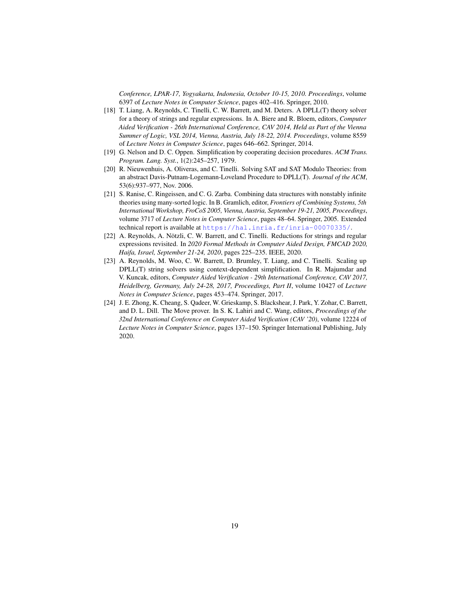*Conference, LPAR-17, Yogyakarta, Indonesia, October 10-15, 2010. Proceedings*, volume 6397 of *Lecture Notes in Computer Science*, pages 402–416. Springer, 2010.

- <span id="page-18-3"></span>[18] T. Liang, A. Reynolds, C. Tinelli, C. W. Barrett, and M. Deters. A DPLL(T) theory solver for a theory of strings and regular expressions. In A. Biere and R. Bloem, editors, *Computer Aided Verification - 26th International Conference, CAV 2014, Held as Part of the Vienna Summer of Logic, VSL 2014, Vienna, Austria, July 18-22, 2014. Proceedings*, volume 8559 of *Lecture Notes in Computer Science*, pages 646–662. Springer, 2014.
- <span id="page-18-1"></span>[19] G. Nelson and D. C. Oppen. Simplification by cooperating decision procedures. *ACM Trans. Program. Lang. Syst.*, 1(2):245–257, 1979.
- <span id="page-18-6"></span>[20] R. Nieuwenhuis, A. Oliveras, and C. Tinelli. Solving SAT and SAT Modulo Theories: from an abstract Davis-Putnam-Logemann-Loveland Procedure to DPLL(T). *Journal of the ACM*, 53(6):937–977, Nov. 2006.
- <span id="page-18-2"></span>[21] S. Ranise, C. Ringeissen, and C. G. Zarba. Combining data structures with nonstably infinite theories using many-sorted logic. In B. Gramlich, editor, *Frontiers of Combining Systems, 5th International Workshop, FroCoS 2005, Vienna, Austria, September 19-21, 2005, Proceedings*, volume 3717 of *Lecture Notes in Computer Science*, pages 48–64. Springer, 2005. Extended technical report is available at <https://hal.inria.fr/inria-00070335/>.
- <span id="page-18-5"></span>[22] A. Reynolds, A. Nötzli, C. W. Barrett, and C. Tinelli. Reductions for strings and regular expressions revisited. In *2020 Formal Methods in Computer Aided Design, FMCAD 2020, Haifa, Israel, September 21-24, 2020*, pages 225–235. IEEE, 2020.
- <span id="page-18-4"></span>[23] A. Reynolds, M. Woo, C. W. Barrett, D. Brumley, T. Liang, and C. Tinelli. Scaling up DPLL(T) string solvers using context-dependent simplification. In R. Majumdar and V. Kuncak, editors, *Computer Aided Verification - 29th International Conference, CAV 2017, Heidelberg, Germany, July 24-28, 2017, Proceedings, Part II*, volume 10427 of *Lecture Notes in Computer Science*, pages 453–474. Springer, 2017.
- <span id="page-18-0"></span>[24] J. E. Zhong, K. Cheang, S. Qadeer, W. Grieskamp, S. Blackshear, J. Park, Y. Zohar, C. Barrett, and D. L. Dill. The Move prover. In S. K. Lahiri and C. Wang, editors, *Proceedings of the 32nd International Conference on Computer Aided Verification (CAV '20)*, volume 12224 of *Lecture Notes in Computer Science*, pages 137–150. Springer International Publishing, July 2020.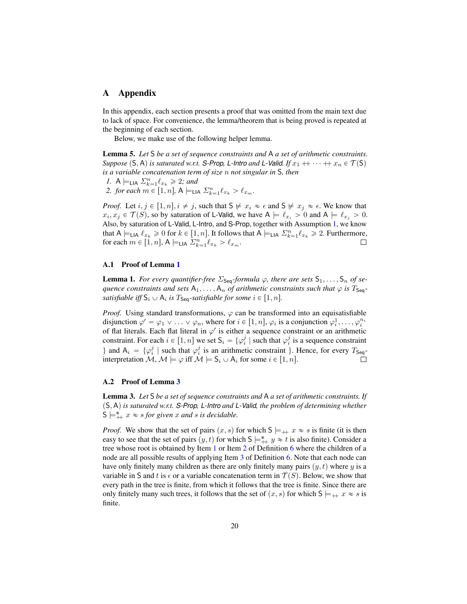# A Appendix

In this appendix, each section presents a proof that was omitted from the main text due to lack of space. For convenience, the lemma/theorem that is being proved is repeated at the beginning of each section.

Below, we make use of the following helper lemma.

<span id="page-19-0"></span>Lemma 5. *Let* S *be a set of sequence constraints and* A *a set of arithmetic constraints. Suppose*  $(S, A)$  *is saturated w.r.t. S-Prop, L-Intro and L-Valid. If*  $x_1 + \cdots + x_n \in \mathcal{T}(S)$ *is a variable concatenation term of size* n *not singular in* S*, then*

*1.*  $A \models_{\mathsf{LIA}} \Sigma_{k=1}^n \ell_{x_k} \geq 2$ *; and* 

*2. for each*  $m \in [1, n]$ ,  $A \models_{\text{LIA}} \sum_{k=1}^{n} \ell_{x_k} > \ell_{x_m}$ .

*Proof.* Let  $i, j \in [1, n], i \neq j$ , such that  $S \not\models x_i \approx \epsilon$  and  $S \not\models x_j \approx \epsilon$ . We know that  $x_i, x_j \in \mathcal{T}(S)$ , so by saturation of L-Valid, we have  $A \models \ell_{x_i} > 0$  and  $A \models \ell_{x_j} > 0$ . Also, by saturation of L-Valid, L-Intro, and S-Prop, together with Assumption [1,](#page-6-1) we know that  $A \models_{\textsf{LIA}} \ell_{x_k} \geq 0$  for  $k \in [1, n]$ . It follows that  $A \models_{\textsf{LIA}} \Sigma_{k=1}^n \ell_{x_k} \geq 2$ . Furthermore, for each  $m \in [1, n]$ ,  $A \models_{LIA} \sum_{k=1}^n \ell_{x_k} > \ell_{x_m}$ . П

#### A.1 Proof of Lemma [1](#page-5-1)

**Lemma 1.** *For every quantifier-free*  $\Sigma_{\text{Seq}}$ -formula  $\varphi$ , there are sets  $S_1, \ldots, S_n$  of se*quence constraints and sets*  $A_1, \ldots, A_n$  *of arithmetic constraints such that*  $\varphi$  *is*  $T_{\text{Seq}}$ *satisfiable iff*  $\mathsf{S}_i \cup \mathsf{A}_i$  *is*  $T_{\mathsf{Seq}}$ -*satisfiable for some*  $i \in [1, n]$ *.* 

*Proof.* Using standard transformations,  $\varphi$  can be transformed into an equisatisfiable disjunction  $\varphi' = \varphi_1 \vee \ldots \vee \varphi_n$ , where for  $i \in [1, n]$ ,  $\varphi_i$  is a conjunction  $\varphi_i^1, \ldots, \varphi_i^{n_i}$ of flat literals. Each flat literal in  $\varphi'$  is either a sequence constraint or an arithmetic constraint. For each  $i \in [1, n]$  we set  $S_i = \{ \varphi_i^j \mid \text{such that } \varphi_i^j \text{ is a sequence constraint} \}$ } and  $A_i = \{\varphi_i^j \mid \text{such that } \varphi_i^j \text{ is an arithmetic constraint } \}$ . Hence, for every  $T_{\text{Seq}}$ interpretation  $M$ ,  $M \models \varphi$  iff  $M \models S_i \cup A_i$  for some  $i \in [1, n]$ . П

# A.2 Proof of Lemma [3](#page-8-1)

Lemma 3. *Let* S *be a set of sequence constraints and* A *a set of arithmetic constraints. If* pS, Aq *is saturated w.r.t. S-Prop, L-Intro and L-Valid, the problem of determining whether*  $S \models^* _{++} x \approx s$  *for given* x *and* s *is decidable.* 

*Proof.* We show that the set of pairs  $(x, s)$  for which  $S \models_{+t} x \approx s$  is finite (it is then easy to see that the set of pairs  $(y, t)$  for which  $S \models^*_{++} y \approx t$  is also finite). Consider a tree whose root is obtained by Item [1](#page-7-4) or Item [2](#page-7-1) of Definition [6](#page-7-3) where the children of a node are all possible results of applying Item [3](#page-7-2) of Definition [6.](#page-7-3) Note that each node can have only finitely many children as there are only finitely many pairs  $(y, t)$  where y is a variable in S and t is  $\epsilon$  or a variable concatenation term in  $\mathcal{T}(S)$ . Below, we show that every path in the tree is finite, from which it follows that the tree is finite. Since there are only finitely many such trees, it follows that the set of  $(x, s)$  for which  $S \models_{+t} x \approx s$  is finite.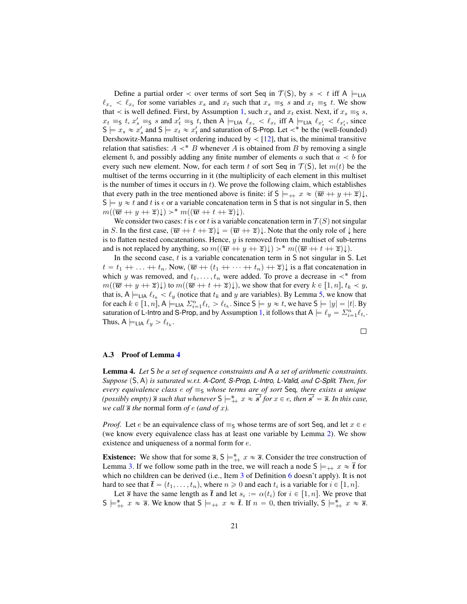Define a partial order  $\lt$  over terms of sort Seq in  $\mathcal{T}(S)$ , by  $s \lt t$  iff A  $\models$ LIA  $\ell_{x_s} < \ell_{x_t}$  for some variables  $x_s$  and  $x_t$  such that  $x_s \equiv_S s$  and  $x_t \equiv_S t$ . We show that  $\prec$  is well defined. First, by Assumption [1,](#page-6-1) such  $x_s$  and  $x_t$  exist. Next, if  $x_s \equiv_S s$ ,  $x_t \equiv_S t, x'_s \equiv_S s \text{ and } x'_t \equiv_S t, \text{ then } A \models_{\text{LIA}} \ell_{x_s} < \ell_{x_t} \text{ iff } A \models_{\text{LIA}} \ell_{x'_s} < \ell_{x'_t}, \text{ since }$  $S \models x_s \approx x'_s$  and  $S \models x_t \approx x'_t$  and saturation of S-Prop. Let  $\prec^*$  be the (well-founded) Dershowitz-Manna multiset ordering induced by  $\lt$  [\[12\]](#page-17-16), that is, the minimal transitive relation that satisfies:  $A \prec^* B$  whenever A is obtained from B by removing a single element b, and possibly adding any finite number of elements a such that  $a \lt b$  for every such new element. Now, for each term t of sort Seq in  $\mathcal{T}(S)$ , let  $m(t)$  be the multiset of the terms occurring in it (the multiplicity of each element in this multiset is the number of times it occurs in  $t$ ). We prove the following claim, which establishes that every path in the tree mentioned above is finite: if  $S \models_{++} x \approx (\overline{w} + y + \overline{z}) \downarrow$ ,  $S \models y \approx t$  and t is  $\epsilon$  or a variable concatenation term in S that is not singular in S, then  $m((\overline{\boldsymbol{w}} + y + \overline{\boldsymbol{z}})\boldsymbol{\downarrow}) >^* m((\overline{\boldsymbol{w}} + t + \overline{\boldsymbol{z}})\boldsymbol{\downarrow}).$ 

We consider two cases: t is  $\epsilon$  or t is a variable concatenation term in  $\mathcal{T}(S)$  not singular in S. In the first case,  $(\overline{w} + t + \overline{z})\downarrow = (\overline{w} + \overline{z})\downarrow$ . Note that the only role of  $\downarrow$  here is to flatten nested concatenations. Hence,  $y$  is removed from the multiset of sub-terms and is not replaced by anything, so  $m((\overline{\boldsymbol{w}} + y + \overline{\boldsymbol{z}})\downarrow) >^* m((\overline{\boldsymbol{w}} + t + \overline{\boldsymbol{z}})\downarrow).$ 

In the second case,  $t$  is a variable concatenation term in  $S$  not singular in  $S$ . Let  $t = t_1 + \ldots + t_n$ . Now,  $(\overline{\boldsymbol{w}} + (t_1 + \cdots + t_n) + \overline{\boldsymbol{z}})$  is a flat concatenation in which y was removed, and  $t_1, \ldots, t_n$  were added. To prove a decrease in  $\prec^*$  from  $m((\overline{\boldsymbol{w}} + y + \overline{\boldsymbol{z}})\boldsymbol{\downarrow})$  to  $m((\overline{\boldsymbol{w}} + t + \overline{\boldsymbol{z}})\boldsymbol{\downarrow})$ , we show that for every  $k \in [1, n], t_k < y$ , that is, A  $\models$ LIA  $\ell_{t_k} < \ell_y$  (notice that  $t_k$  and y are variables). By Lemma [5,](#page-19-0) we know that for each  $k \in [1, n]$ ,  $A \models_{\textsf{LIA}} \sum_{i=1}^{n} \ell_{t_i} > \ell_{t_k}$ . Since  $S \models y \approx t$ , we have  $S \models |y| = |t|$ . By saturation of L-Intro and S-Prop, and by Assumption [1,](#page-6-1) it follows that  $A \models \ell_y = \sum_{i=1}^n \ell_{t_i}$ . Thus,  $A \models_{LIA} \ell_y > \ell_{t_k}$ .

 $\Box$ 

# A.3 Proof of Lemma [4](#page-8-2)

Lemma 4. *Let* S *be a set of sequence constraints and* A *a set of arithmetic constraints. Suppose* pS, Aq *is saturated w.r.t. A-Conf, S-Prop, L-Intro, L-Valid, and C-Split. Then, for every equivalence class*  $e$  *of*  $\equiv$  *s whose terms are of sort* Seq, *there exists a unique (possibly empty)*  $\overline{s}$  *such that whenever*  $S \models^* _{++} x \approx \overline{s'}$  *for*  $x \in e$ *, then*  $\overline{s'} = \overline{s}$ *. In this case, we call*  $\overline{s}$  *the* normal form *of e (and of x).* 

*Proof.* Let e be an equivalence class of  $\equiv_S$  whose terms are of sort Seq, and let  $x \in e$ (we know every equivalence class has at least one variable by Lemma [2\)](#page-6-3). We show existence and uniqueness of a normal form for  $e$ .

**Existence:** We show that for some  $\overline{s}$ ,  $S \models^* _{++} x \approx \overline{s}$ . Consider the tree construction of Lemma [3.](#page-8-1) If we follow some path in the tree, we will reach a node  $S \models_{++} x \approx t$  for which no children can be derived (i.e., Item [3](#page-7-2) of Definition [6](#page-7-3) doesn't apply). It is not hard to see that  $\bar{\boldsymbol{t}} = (t_1, \ldots, t_n)$ , where  $n \geq 0$  and each  $t_i$  is a variable for  $i \in [1, n]$ .

Let  $\overline{s}$  have the same length as  $\overline{t}$  and let  $s_i := \alpha(t_i)$  for  $i \in [1, n]$ . We prove that  $S \models^* _{++} x \approx \overline{s}$ . We know that  $S \models_{++} x \approx \overline{t}$ . If  $n = 0$ , then trivially,  $S \models^*_{++} x \approx \overline{s}$ .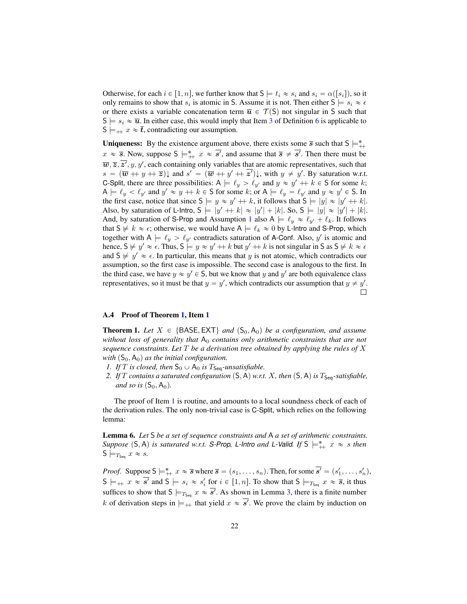Otherwise, for each  $i \in [1, n]$ , we further know that  $S \models t_i \approx s_i$  and  $s_i = \alpha([s_i])$ , so it only remains to show that  $s_i$  is atomic in S. Assume it is not. Then either  $S \models s_i \approx \epsilon$ or there exists a variable concatenation term  $\bar{u} \in \mathcal{T}(S)$  not singular in S such that  $S \models s_i \approx \overline{u}$ . In either case, this would imply that Item [3](#page-7-2) of Definition [6](#page-7-3) is applicable to  $S \models_{++} x \approx \overline{t}$ , contradicting our assumption.

**Uniqueness:** By the existence argument above, there exists some  $\overline{s}$  such that  $S \models^*_{++}$  $x \approx \overline{s}$ . Now, suppose  $S \models^*_{++} x \approx \overline{s'}$ , and assume that  $\overline{s} \neq \overline{s'}$ . Then there must be  $\overline{\boldsymbol{w}}, \overline{\boldsymbol{z}}, \boldsymbol{z}', y, y'$ , each containing only variables that are atomic representatives, such that  $s = (\overline{\boldsymbol{w}} + y + \overline{\boldsymbol{z}}) \downarrow$  and  $s' = (\overline{\boldsymbol{w}} + y' + z') \downarrow$ , with  $y \neq y'$ . By saturation w.r.t. C-Split, there are three possibilities:  $A \models \ell_y > \ell_{y'}$  and  $y \approx y' + k \in S$  for some k;  $A \models \ell_y < \ell_{y'}$  and  $y' \approx y + k \in S$  for some k; or  $A \models \ell_y = \ell_{y'}$  and  $y \approx y' \in S$ . In the first case, notice that since  $S \models y \approx y' + k$ , it follows that  $S \models |y| \approx |y' + k|$ . Also, by saturation of L-Intro,  $S \models |y' + k| \approx |y'| + |k|$ . So,  $S \models |y| \approx |y'| + |k|$ . And, by saturation of S-Prop and Assumption [1](#page-6-1) also  $A \models \ell_y \approx \ell_{y'} + \ell_k$ . It follows that  $S \not\models k \approx \epsilon$ ; otherwise, we would have  $A \models \ell_k \approx 0$  by L-Intro and S-Prop, which together with  $A \models \ell_y > \ell_{y'}$  contradicts saturation of A-Conf. Also, y' is atomic and hence,  $S \not\models y' \approx \epsilon$ . Thus,  $S \models y \approx y' + k$  but  $y' + k$  is not singular in S as  $S \not\models k \approx \epsilon$ and  $S \not\models y' \approx \epsilon$ . In particular, this means that y is not atomic, which contradicts our assumption, so the first case is impossible. The second case is analogous to the first. In the third case, we have  $y \approx y' \in S$ , but we know that y and y' are both equivalence class representatives, so it must be that  $y = y'$ , which contradicts our assumption that  $y \neq y'$ .  $\Box$ 

#### A.4 Proof of Theorem [1,](#page-11-0) Item [1](#page-11-3)

**Theorem 1.** Let  $X \in \{BASE, \text{EXT}\}\$ and  $(S_0, A_0)$  be a configuration, and assume *without loss of generality that*  $A_0$  *contains only arithmetic constraints that are not sequence constraints. Let* T *be a derivation tree obtained by applying the rules of* X *with*  $(S_0, A_0)$  *as the initial configuration.* 

- *1. If T is closed, then*  $S_0 \cup A_0$  *is*  $T_{\text{Seq}}$ *-unsatisfiable.*
- 2. If T contains a saturated configuration  $(S, A)$  w.r.t. X, then  $(S, A)$  is  $T_{\text{Seq}}$ -satisfiable, *and so is*  $(S_0, A_0)$ *.*

The proof of Item [1](#page-11-3) is routine, and amounts to a local soundness check of each of the derivation rules. The only non-trivial case is C-Split, which relies on the following lemma:

<span id="page-21-0"></span>Lemma 6. *Let* S *be a set of sequence constraints and* A *a set of arithmetic constraints. Suppose*  $(S, A)$  *is saturated w.r.t. S-Prop, L-Intro and L-Valid. If*  $S \models^* _{++} x \approx s$  *then*  $S \models_{T_{\text{Seq}}} x \approx s.$ 

*Proof.* Suppose  $S \models^* _{++} x \approx \overline{s}$  where  $\overline{s} = (s_1, \ldots, s_n)$ . Then, for some  $s' = (s'_1, \ldots, s'_n)$ ,  $S \models_{++} x \approx \overline{s'}$  and  $S \models s_i \approx s'_i$  for  $i \in [1, n]$ . To show that  $S \models_{T_{Seq}} x \approx \overline{s}$ , it thus suffices to show that  $S \models_{T_{Seq}} x \approx s'$ . As shown in Lemma [3,](#page-8-1) there is a finite number k of derivation steps in  $\models_{++}$  that yield  $x \approx \overline{s'}$ . We prove the claim by induction on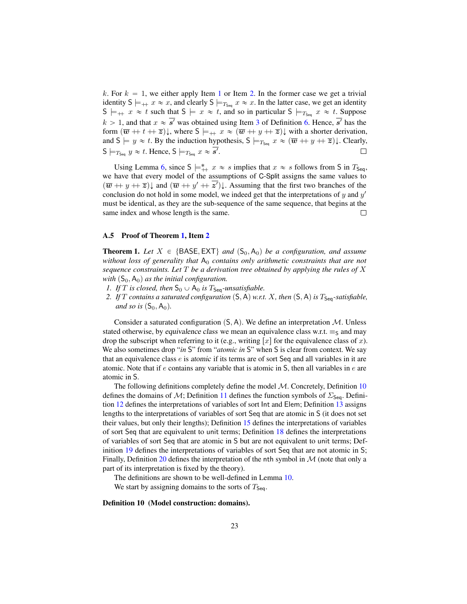k. For  $k = 1$  $k = 1$ , we either apply Item 1 or Item [2.](#page-7-1) In the former case we get a trivial identity  $S \models_{++} x \approx x$ , and clearly  $S \models_{T_{\text{Seq}}} x \approx x$ . In the latter case, we get an identity  $S \models_{++} x \approx t$  such that  $S \models x \approx t$ , and so in particular  $S \models_{T_{\text{Seq}}} x \approx t$ . Suppose  $k > 1$ , and that  $x \approx \overline{s'}$  was obtained using Item [3](#page-7-2) of Definition [6.](#page-7-3) Hence,  $\overline{s'}$  has the form  $(\overline{w} + t + \overline{z})\downarrow$ , where  $S \models_{++} x \approx (\overline{w} + y + \overline{z})\downarrow$  with a shorter derivation, and  $S \models y \approx t$ . By the induction hypothesis,  $S \models_{T_{Seq}} x \approx (\overline{w} + y + \overline{z}) \downarrow$ . Clearly,  $\mathsf{S}\models_{T_{\mathsf{Seq}}} y \approx t$ . Hence,  $\mathsf{S}\models_{T_{\mathsf{Seq}}} x \approx s'$ .  $\Box$ 

Using Lemma [6,](#page-21-0) since  $S \models^*_{++} x \approx s$  implies that  $x \approx s$  follows from S in  $T_{Seq}$ , we have that every model of the assumptions of C-Split assigns the same values to  $(\overline{\mathbf{w}} + y + \overline{\mathbf{z}})$  and  $(\overline{\mathbf{w}} + y' + z')$ . Assuming that the first two branches of the conclusion do not hold in some model, we indeed get that the interpretations of  $y$  and  $y'$ must be identical, as they are the sub-sequence of the same sequence, that begins at the same index and whose length is the same.  $\Box$ 

#### A.5 Proof of Theorem [1,](#page-11-0) Item [2](#page-11-4)

**Theorem 1.** Let  $X \in \{BASE, \text{EXT}\}\$ and  $(S_0, A_0)$  be a configuration, and assume *without loss of generality that*  $A_0$  *contains only arithmetic constraints that are not sequence constraints. Let* T *be a derivation tree obtained by applying the rules of* X *with*  $(S_0, A_0)$  *as the initial configuration.* 

- *1. If T is closed, then*  $S_0 \cup A_0$  *is*  $T_{\text{Seq}}$ *-unsatisfiable.*
- 2. If T contains a saturated configuration  $(S, A)$  w.r.t. X, then  $(S, A)$  is  $T_{\text{Seq}}$ -satisfiable, *and so is*  $(S_0, A_0)$ *.*

Consider a saturated configuration  $(S, A)$ . We define an interpretation M. Unless stated otherwise, by equivalence class we mean an equivalence class w.r.t.  $\equiv_S$  and may drop the subscript when referring to it (e.g., writing [x] for the equivalence class of x). We also sometimes drop "*in* S" from "*atomic in* S" when S is clear from context. We say that an equivalence class  $e$  is atomic if its terms are of sort Seq and all variables in it are atomic. Note that if e contains any variable that is atomic in S, then all variables in e are atomic in S.

The following definitions completely define the model  $M$ . Concretely, Definition [10](#page-22-0) defines the domains of M; Definition [11](#page-23-0) defines the function symbols of  $\Sigma_{\text{Seq}}$ . Definition [12](#page-23-1) defines the interpretations of variables of sort Int and Elem; Definition [13](#page-23-2) assigns lengths to the interpretations of variables of sort Seq that are atomic in S (it does not set their values, but only their lengths); Definition [15](#page-23-3) defines the interpretations of variables of sort Seq that are equivalent to unit terms; Definition [18](#page-24-0) defines the interpretations of variables of sort Seq that are atomic in S but are not equivalent to unit terms; Def-inition [19](#page-24-1) defines the interpretations of variables of sort Seq that are not atomic in S; Finally, Definition [20](#page-25-0) defines the interpretation of the nth symbol in  $\mathcal M$  (note that only a part of its interpretation is fixed by the theory).

The definitions are shown to be well-defined in Lemma [10.](#page-25-1)

We start by assigning domains to the sorts of  $T<sub>Seq</sub>$ .

<span id="page-22-0"></span>Definition 10 (Model construction: domains).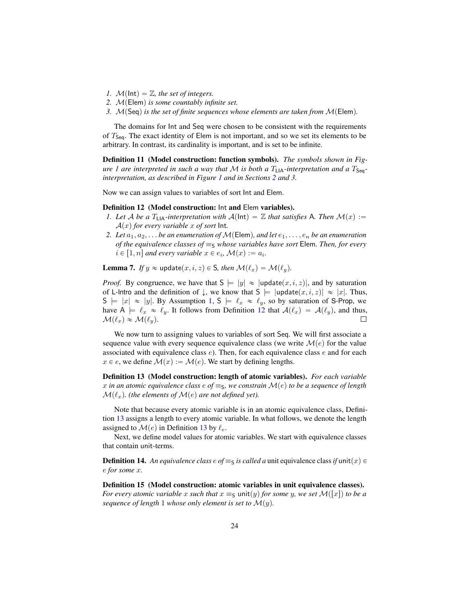- *1.*  $\mathcal{M}(\text{Int}) = \mathbb{Z}$ , the set of integers.
- 2.  $M(Element)$  *is some countably infinite set.*
- *3.*  $M(Seq)$  *is the set of finite sequences whose elements are taken from*  $M(Elem)$ *.*

The domains for Int and Seq were chosen to be consistent with the requirements of  $T<sub>Seq</sub>$ . The exact identity of Elem is not important, and so we set its elements to be arbitrary. In contrast, its cardinality is important, and is set to be infinite.

<span id="page-23-0"></span>Definition 11 (Model construction: function symbols). *The symbols shown in Figure I* are interpreted in such a way that M is both a  $T_{11A}$  $T_{11A}$  $T_{11A}$ -interpretation and a  $T_{5en}$ *interpretation, as described in Figure [1](#page-3-0) and in Sections [2](#page-2-0) and [3.](#page-2-1)*

<span id="page-23-1"></span>Now we can assign values to variables of sort Int and Elem.

#### Definition 12 (Model construction: Int and Elem variables).

- <span id="page-23-4"></span>*1. Let* A *be a*  $T_{\text{LIA}}$ -interpretation with  $A(\text{Int}) = \mathbb{Z}$  *that satisfies* A*. Then*  $M(x) :=$  $\mathcal{A}(x)$  for every variable x of sort lnt.
- <span id="page-23-5"></span>2. Let  $a_1, a_2, \ldots$  be an enumeration of  $\mathcal{M}(\mathsf{Elem})$ , and let  $e_1, \ldots, e_n$  be an enumeration *of the equivalence classes of*  $\equiv_S$  *whose variables have sort* Elem. Then, for every  $i \in [1, n]$  and every variable  $x \in e_i$ ,  $\mathcal{M}(x) := a_i$ .

<span id="page-23-6"></span>**Lemma 7.** *If*  $y \approx$  update $(x, i, z) \in S$ *, then*  $\mathcal{M}(\ell_x) = \mathcal{M}(\ell_y)$ *.* 

*Proof.* By congruence, we have that  $S \models |y| \approx |update(x, i, z)|$ , and by saturation of L-Intro and the definition of  $\downarrow$ , we know that  $S \models |\text{update}(x, i, z)| \approx |x|$ . Thus,  $S \models |x| \approx |y|$ . By Assumption [1,](#page-6-1)  $S \models \ell_x \approx \ell_y$ , so by saturation of S-Prop, we have  $A \models \ell_x \approx \ell_y$ . It follows from Definition [12](#page-23-1) that  $A(\ell_x) = A(\ell_y)$ , and thus,  $\mathcal{M}(\ell_x) \approx \mathcal{M}(\ell_y)$ .  $\Box$ 

We now turn to assigning values to variables of sort Seq. We will first associate a sequence value with every sequence equivalence class (we write  $\mathcal{M}(e)$  for the value associated with equivalence class  $e$ ). Then, for each equivalence class  $e$  and for each  $x \in e$ , we define  $\mathcal{M}(x) := \mathcal{M}(e)$ . We start by defining lengths.

<span id="page-23-2"></span>Definition 13 (Model construction: length of atomic variables). *For each variable* x in an atomic equivalence class  $e$  of  $\equiv_S$ , we constrain  $\mathcal{M}(e)$  to be a sequence of length  $\mathcal{M}(\ell_x)$ *. (the elements of*  $\mathcal{M}(e)$  *are not defined yet).* 

Note that because every atomic variable is in an atomic equivalence class, Definition [13](#page-23-2) assigns a length to every atomic variable. In what follows, we denote the length assigned to  $\mathcal{M}(e)$  in Definition [13](#page-23-2) by  $\ell_e$ .

Next, we define model values for atomic variables. We start with equivalence classes that contain unit-terms.

**Definition 14.** An equivalence class  $e$  of  $\equiv_S$  is called a unit equivalence class if unit(x)  $\in$ e *for some* x*.*

<span id="page-23-3"></span>Definition 15 (Model construction: atomic variables in unit equivalence classes). *For every atomic variable* x *such that*  $x \equiv_S \text{unit}(y)$  *for some* y*, we set*  $\mathcal{M}([x])$  *to be a sequence of length* 1 *whose only element is set to*  $\mathcal{M}(y)$ *.*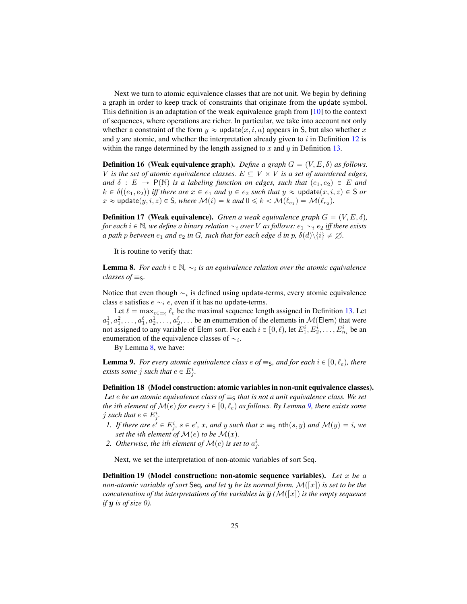Next we turn to atomic equivalence classes that are not unit. We begin by defining a graph in order to keep track of constraints that originate from the update symbol. This definition is an adaptation of the weak equivalence graph from [\[10\]](#page-17-8) to the context of sequences, where operations are richer. In particular, we take into account not only whether a constraint of the form  $y \approx$  update $(x, i, a)$  appears in S, but also whether x and y are atomic, and whether the interpretation already given to  $i$  in Definition [12](#page-23-1) is within the range determined by the length assigned to x and y in Definition [13.](#page-23-2)

<span id="page-24-6"></span>**Definition 16 (Weak equivalence graph).** *Define a graph*  $G = (V, E, \delta)$  *as follows. V* is the set of atomic equivalence classes.  $E \subseteq V \times V$  is a set of unordered edges, *and*  $\delta$  :  $E \rightarrow P(\mathbb{N})$  *is a labeling function on edges, such that*  $(e_1, e_2) \in E$  *and*  $k \in \delta((e_1, e_2))$  *iff there are*  $x \in e_1$  *and*  $y \in e_2$  *such that*  $y \approx$  **update** $(x, i, z) \in S$  *or*  $x \approx \mathsf{update}(y, i, z) \in \mathsf{S}$ , where  $\mathcal{M}(i) = k$  and  $0 \leqslant k < \mathcal{M}(\ell_{e_1}) = \mathcal{M}(\ell_{e_2})$ .

<span id="page-24-7"></span>**Definition 17** (Weak equivalence). *Given a weak equivalence graph*  $G = (V, E, \delta)$ *, for each*  $i \in \mathbb{N}$ *, we define a binary relation*  $\sim_i$  *over V as follows:*  $e_1 \sim_i e_2$  *iff there exists a* path p between  $e_1$  *and*  $e_2$  *in*  $G$ *, such that for each edge d in*  $p$ *,*  $\delta(d)\backslash\{i\} \neq \emptyset$ *.* 

It is routine to verify that:

<span id="page-24-2"></span>**Lemma 8.** For each  $i \in \mathbb{N}$ ,  $\sim_i$  is an equivalence relation over the atomic equivalence *classes of*  $\equiv$ <sub>5</sub>*.* 

Notice that even though  $\sim_i$  is defined using update-terms, every atomic equivalence class e satisfies  $e \sim_i e$ , even if it has no update-terms.

Let  $\ell = \max_{e \in \mathcal{E}} \ell_e$  be the maximal sequence length assigned in Definition [13.](#page-23-2) Let  $a_1^1, a_1^2, \ldots, a_1^\ell, a_2^1, \ldots, a_2^\ell, \ldots$  be an enumeration of the elements in  $\mathcal{M}(\mathsf{Elem})$  that were not assigned to any variable of Elem sort. For each  $i \in [0, \ell)$ , let  $E_1^i, E_2^i, \ldots, E_{n_i}^i$  be an enumeration of the equivalence classes of  $\sim_i$ .

<span id="page-24-3"></span>By Lemma [8,](#page-24-2) we have:

**Lemma 9.** For every atomic equivalence class  $e$  of  $\equiv$   $\varsigma$ , and for each  $i \in [0, \ell_e)$ , there *exists some j such that*  $e \in E_j^i$ *.* 

<span id="page-24-0"></span>Definition 18 (Model construction: atomic variables in non-unit equivalence classes). Let e be an atomic equivalence class of  $\equiv_S$  that is not a unit equivalence class. We set *the ith element of*  $\mathcal{M}(e)$  *for every*  $i \in [0, \ell_e)$  *as follows. By Lemma* [9,](#page-24-3) *there exists some j* such that  $e \in E^i_j$ .

- <span id="page-24-4"></span>*1. If there are*  $e' \in E_j^i$ ,  $s \in e'$ ,  $x$ , and  $y$  such that  $x \equiv_S \text{nth}(s, y)$  and  $\mathcal{M}(y) = i$ , we *set the ith element of*  $\mathcal{M}(e)$  *to be*  $\mathcal{M}(x)$ *.*
- <span id="page-24-5"></span>2. Otherwise, the ith element of  $\mathcal{M}(e)$  is set to  $a_j^i$ .

Next, we set the interpretation of non-atomic variables of sort Seq.

<span id="page-24-1"></span>Definition 19 (Model construction: non-atomic sequence variables). *Let* x *be a non-atomic variable of sort* Seq, and let  $\overline{y}$  be its normal form.  $\mathcal{M}([x])$  is set to be the *concatenation of the interpretations of the variables in*  $\overline{y}$  ( $\mathcal{M}([x])$  *is the empty sequence if*  $\overline{y}$  *is of size* 0).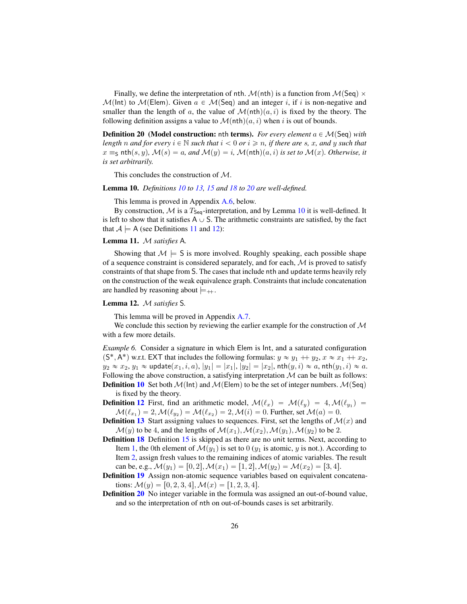Finally, we define the interpretation of nth.  $\mathcal{M}$ (nth) is a function from  $\mathcal{M}$ (Seq)  $\times$  $\mathcal{M}$ (Int) to  $\mathcal{M}$ (Elem). Given  $a \in \mathcal{M}$ (Seq) and an integer i, if i is non-negative and smaller than the length of a, the value of  $\mathcal{M}(nth)(a, i)$  is fixed by the theory. The following definition assigns a value to  $\mathcal{M}(nth)(a, i)$  when i is out of bounds.

<span id="page-25-0"></span>**Definition 20** (Model construction: nth terms). For every element  $a \in M(Seq)$  with *length n* and for every  $i \in \mathbb{N}$  *such that*  $i < 0$  *or*  $i \ge n$ *, if there are s, x, and y such that*  $x \equiv_S \text{nth}(s, y)$ ,  $\mathcal{M}(s) = a$ , and  $\mathcal{M}(y) = i$ ,  $\mathcal{M}(\text{nth})(a, i)$  is set to  $\mathcal{M}(x)$ . Otherwise, it *is set arbitrarily.*

This concludes the construction of M.

<span id="page-25-1"></span>Lemma 10. *Definitions [10](#page-22-0) to [13,](#page-23-2) [15](#page-23-3) and [18](#page-24-0) to [20](#page-25-0) are well-defined.*

<span id="page-25-3"></span>This lemma is proved in Appendix [A.6,](#page-26-0) below.

By construction, M is a  $T_{\text{Seq}}$ -interpretation, and by Lemma [10](#page-25-1) it is well-defined. It is left to show that it satisfies  $A \cup S$ . The arithmetic constraints are satisfied, by the fact that  $A \models A$  (see Definitions [11](#page-23-0) and [12\)](#page-23-1):

#### Lemma 11. M *satisfies* A*.*

Showing that  $M \models S$  is more involved. Roughly speaking, each possible shape of a sequence constraint is considered separately, and for each,  $M$  is proved to satisfy constraints of that shape from S. The cases that include nth and update terms heavily rely on the construction of the weak equivalence graph. Constraints that include concatenation are handled by reasoning about  $\models_{++}.$ 

## <span id="page-25-2"></span>Lemma 12. M *satisfies* S*.*

This lemma will be proved in Appendix [A.7.](#page-30-0)

We conclude this section by reviewing the earlier example for the construction of  $M$ with a few more details.

*Example 6.* Consider a signature in which Elem is Int, and a saturated configuration  $(S^*, A^*)$  w.r.t. EXT that includes the following formulas:  $y \approx y_1 + y_2, x \approx x_1 + x_2$ ,  $y_2 \approx x_2, y_1 \approx \text{update}(x_1, i, a), |y_1| = |x_1|, |y_2| = |x_2|, \text{nth}(y, i) \approx a, \text{nth}(y_1, i) \approx a.$ Following the above construction, a satisfying interpretation  $M$  can be built as follows: **Definition [10](#page-22-0)** Set both  $M(\text{Int})$  and  $M(\text{Elem})$  to be the set of integer numbers.  $M(\text{Seq})$ 

is fixed by the theory.

**Definition [12](#page-23-1)** First, find an arithmetic model,  $\mathcal{M}(\ell_x) = \mathcal{M}(\ell_y) = 4, \mathcal{M}(\ell_{y_1}) =$  $\mathcal{M}(\ell_{x_1}) = 2, \mathcal{M}(\ell_{y_2}) = \mathcal{M}(\ell_{x_2}) = 2, \mathcal{M}(i) = 0.$  Further, set  $\mathcal{M}(a) = 0.$ 

**Definition [13](#page-23-2)** Start assigning values to sequences. First, set the lengths of  $\mathcal{M}(x)$  and  $\mathcal{M}(y)$  to be 4, and the lengths of  $\mathcal{M}(x_1),\mathcal{M}(x_2),\mathcal{M}(y_1),\mathcal{M}(y_2)$  to be 2.

- Definition [18](#page-24-0) Definition [15](#page-23-3) is skipped as there are no unit terms. Next, according to Item [1,](#page-24-4) the 0th element of  $\mathcal{M}(y_1)$  is set to 0 ( $y_1$  is atomic, y is not.). According to Item [2,](#page-24-5) assign fresh values to the remaining indices of atomic variables. The result can be, e.g.,  $\mathcal{M}(y_1) = [0, 2], \mathcal{M}(x_1) = [1, 2], \mathcal{M}(y_2) = \mathcal{M}(x_2) = [3, 4].$
- Definition [19](#page-24-1) Assign non-atomic sequence variables based on equivalent concatenations:  $\mathcal{M}(y) = [0, 2, 3, 4], \mathcal{M}(x) = [1, 2, 3, 4].$
- Definition [20](#page-25-0) No integer variable in the formula was assigned an out-of-bound value, and so the interpretation of nth on out-of-bounds cases is set arbitrarily.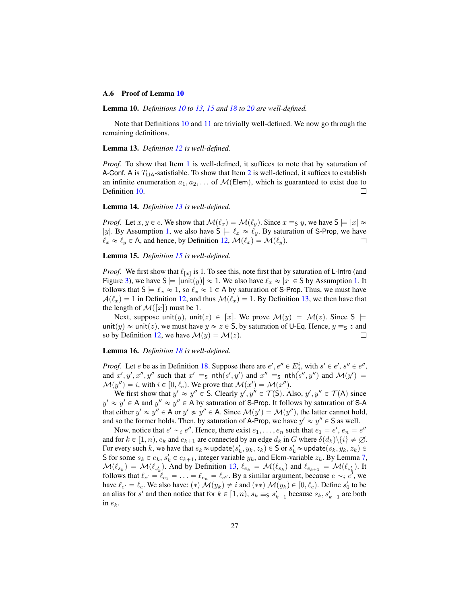#### <span id="page-26-0"></span>A.6 Proof of Lemma [10](#page-25-1)

Lemma 10. *Definitions [10](#page-22-0) to [13,](#page-23-2) [15](#page-23-3) and [18](#page-24-0) to [20](#page-25-0) are well-defined.*

Note that Definitions [10](#page-22-0) and [11](#page-23-0) are trivially well-defined. We now go through the remaining definitions.

#### Lemma 13. *Definition [12](#page-23-1) is well-defined.*

*Proof.* To show that Item [1](#page-23-4) is well-defined, it suffices to note that by saturation of A-Conf, A is  $T_{11A}$ -satisfiable. To show that Item [2](#page-23-5) is well-defined, it suffices to establish an infinite enumeration  $a_1, a_2, \ldots$  of  $\mathcal{M}(\mathsf{Elem})$ , which is guaranteed to exist due to Definition [10.](#page-22-0)  $\Box$ 

Lemma 14. *Definition [13](#page-23-2) is well-defined.*

*Proof.* Let  $x, y \in e$ . We show that  $\mathcal{M}(\ell_x) = \mathcal{M}(\ell_y)$ . Since  $x \equiv_S y$ , we have  $S \models |x| \approx$ |y|. By Assumption [1,](#page-6-1) we also have  $S \models \ell_x \approx \ell_y$ . By saturation of S-Prop, we have  $\ell_x \approx \ell_y \in A$ , and hence, by Definition [12,](#page-23-1)  $\mathcal{M}(\ell_x) = \mathcal{M}(\ell_y)$ . □

<span id="page-26-1"></span>Lemma 15. *Definition [15](#page-23-3) is well-defined.*

*Proof.* We first show that  $\ell_{[x]}$  is 1. To see this, note first that by saturation of L-Intro (and Figure [3\)](#page-6-0), we have  $S \models |unit(y)| \approx 1$ . We also have  $\ell_x \approx |x| \in S$  by Assumption [1.](#page-6-1) It follows that  $S \models \ell_x \approx 1$ , so  $\ell_x \approx 1 \in A$  by saturation of S-Prop. Thus, we must have  $\mathcal{A}(\ell_x) = 1$  in Definition [12,](#page-23-1) and thus  $\mathcal{M}(\ell_x) = 1$ . By Definition [13,](#page-23-2) we then have that the length of  $\mathcal{M}([x])$  must be 1.

Next, suppose unit(y), unit(z)  $\in$  [x]. We prove  $\mathcal{M}(y) = \mathcal{M}(z)$ . Since S  $\models$ unit $(y) \approx$  unit $(z)$ , we must have  $y \approx z \in S$ , by saturation of U-Eq. Hence,  $y \equiv_S z$  and  $\Box$ so by Definition [12,](#page-23-1) we have  $\mathcal{M}(y) = \mathcal{M}(z)$ .

## Lemma 16. *Definition [18](#page-24-0) is well-defined.*

*Proof.* Let *e* be as in Definition [18.](#page-24-0) Suppose there are  $e'$ ,  $e'' \in E_j^i$ , with  $s' \in e'$ ,  $s'' \in e''$ , and  $x', y', x'', y''$  such that  $x' \equiv_S \text{nth}(s', y')$  and  $x'' \equiv_S \text{nth}(s'', y'')$  and  $\mathcal{M}(y') =$  $\mathcal{M}(y'') = i$ , with  $i \in [0, \ell_e)$ . We prove that  $\mathcal{M}(x') = \mathcal{M}(x'')$ .

We first show that  $y' \approx y'' \in S$ . Clearly  $y', y'' \in \mathcal{T}(S)$ . Also,  $y', y'' \in \mathcal{T}(A)$  since  $y' \approx y' \in A$  and  $y'' \approx y'' \in A$  by saturation of S-Prop. It follows by saturation of S-A that either  $y' \approx y'' \in A$  or  $y' \not\approx y'' \in A$ . Since  $\mathcal{M}(y') = \mathcal{M}(y'')$ , the latter cannot hold, and so the former holds. Then, by saturation of A-Prop, we have  $y' \approx y'' \in S$  as well.

Now, notice that  $e' \sim_i e''$ . Hence, there exist  $e_1, \ldots, e_n$  such that  $e_1 = e'$ ,  $e_n = e''$ and for  $k \in [1, n)$ ,  $e_k$  and  $e_{k+1}$  are connected by an edge  $d_k$  in G where  $\delta(d_k)\backslash \{i\} \neq \emptyset$ . For every such k, we have that  $s_k \approx \text{update}(s'_k, y_k, z_k) \in \mathsf{S}$  or  $s'_k \approx \text{update}(s_k, y_k, z_k) \in$ S for some  $s_k \in e_k$ ,  $s'_k \in e_{k+1}$ , integer variable  $y_k$ , and Elem-variable  $z_k$ . By Lemma [7,](#page-23-6)  $\mathcal{M}(\ell_{s_k}) = \mathcal{M}(\ell_{s'_k})$ . And by Definition [13,](#page-23-2)  $\ell_{e_k} = \mathcal{M}(\ell_{s_k})$  and  $\ell_{e_{k+1}} = \mathcal{M}(\ell_{s'_k})$ . It follows that  $\ell_{e'} = \ell_{e_1} = \ldots = \ell_{e_n} = \ell_{e''}$ . By a similar argument, because  $e \sim_i e^{i}$ , we have  $\ell_{e'} = \ell_e$ . We also have: (\*)  $\mathcal{M}(y_k) \neq i$  and (\*\*)  $\mathcal{M}(y_k) \in [0, \ell_e)$ . Define  $s'_0$  to be an alias for s' and then notice that for  $k \in [1, n)$ ,  $s_k \equiv_S s'_{k-1}$  because  $s_k$ ,  $s'_{k-1}$  are both in  $e_k$ .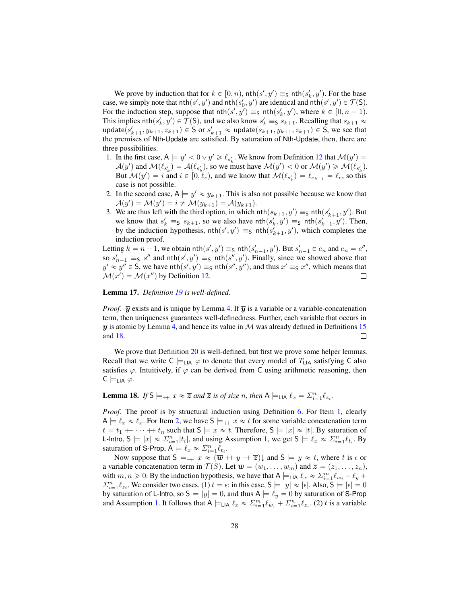We prove by induction that for  $k \in [0, n)$ ,  $nth(s', y') \equiv_{\mathsf{S}} nth(s'_k, y')$ . For the base case, we simply note that  $nth(s', y')$  and  $nth(s'_0, y')$  are identical and  $nth(s', y') \in \mathcal{T}(S)$ . For the induction step, suppose that  $nth(s', y') \equiv_{\mathsf{S}} nth(s'_k, y')$ , where  $k \in [0, n - 1)$ . This implies  $nth(s'_k, y') \in \mathcal{T}(S)$ , and we also know  $s'_k \equiv_S s_{k+1}$ . Recalling that  $s_{k+1} \approx$ update $(s'_{k+1}, y_{k+1}, z_{k+1}) \in S$  or  $s'_{k+1} \approx$  update $(s_{k+1}, y_{k+1}, z_{k+1}) \in S$ , we see that the premises of Nth-Update are satisfied. By saturation of Nth-Update, then, there are three possibilities.

- 1. In the first case,  $A \models y' < 0 \lor y' \ge \ell_{s'_k}$ . We know from Definition [12](#page-23-1) that  $\mathcal{M}(y') =$  $\mathcal{A}(y')$  and  $\mathcal{M}(\ell_{s'_k}) = \mathcal{A}(\ell_{s'_k})$ , so we must have  $\mathcal{M}(y') < 0$  or  $\mathcal{M}(y') \geq \mathcal{M}(\ell_{s'_k})$ . But  $\mathcal{M}(y') = i$  and  $i \in [0, \ell_e)$ , and we know that  $\mathcal{M}(\ell_{s'_k}) = \ell_{e_{k+1}} = \ell_e$ , so this case is not possible.
- 2. In the second case,  $A \models y' \approx y_{k+1}$ . This is also not possible because we know that  $\mathcal{A}(y') = \mathcal{M}(y') = i \neq \mathcal{M}(y_{k+1}) = \mathcal{A}(y_{k+1}).$
- 3. We are thus left with the third option, in which  $nth(s_{k+1}, y') \equiv_S nth(s'_{k+1}, y')$ . But we know that  $s'_k \equiv_S s_{k+1}$ , so we also have  $nth(s'_k, y') \equiv_S nth(s'_{k+1}, y')$ . Then, by the induction hypothesis,  $nth(s', y') \equiv_{\mathsf{S}} nth(s'_{k+1}, y')$ , which completes the induction proof.

Letting  $k = n - 1$ , we obtain  $nth(s', y') \equiv_{\mathsf{S}} nth(s'_{n-1}, y')$ . But  $s'_{n-1} \in e_n$  and  $e_n = e'',$ so  $s'_{n-1} \equiv_S s''$  and  $nth(s', y') \equiv_S nth(s'', y')$ . Finally, since we showed above that  $y' \approx y'' \in S$ , we have  $nth(s', y') \equiv_S nth(s'', y'')$ , and thus  $x' \equiv_S x''$ , which means that  $\mathcal{M}(x') = \mathcal{M}(x'')$  by Definition [12.](#page-23-1)  $\Box$ 

Lemma 17. *Definition [19](#page-24-1) is well-defined.*

*Proof.*  $\overline{y}$  exists and is unique by Lemma [4.](#page-8-2) If  $\overline{y}$  is a variable or a variable-concatenation term, then uniqueness guarantees well-definedness. Further, each variable that occurs in  $\overline{y}$  is atomic by Lemma [4,](#page-8-2) and hence its value in M was already defined in Definitions [15](#page-23-3) and [18.](#page-24-0)  $\Box$ 

We prove that Definition [20](#page-25-0) is well-defined, but first we prove some helper lemmas. Recall that we write  $C \models_{LIA} \varphi$  to denote that every model of  $T_{LIA}$  satisfying C also satisfies  $\varphi$ . Intuitively, if  $\varphi$  can be derived from C using arithmetic reasoning, then  $C \models_{LIA} \varphi$ .

<span id="page-27-0"></span>**Lemma 18.** *If*  $S \models_{++} x \approx \overline{z}$  *and*  $\overline{z}$  *is of size n, then*  $A \models_{\text{LIA}} \ell_x = \sum_{i=1}^n \ell_{z_i}$ *.* 

*Proof.* The proof is by structural induction using Definition [6.](#page-7-3) For Item [1,](#page-7-4) clearly  $A \models \ell_x \approx \ell_x$ . For Item [2,](#page-7-1) we have  $S \models_{++} x \approx t$  for some variable concatenation term  $t = t_1 + \cdots + t_n$  such that  $S \models x \approx t$ . Therefore,  $S \models |x| \approx |t|$ . By saturation of L-Intro,  $S \models |x| \approx \sum_{i=1}^n |t_i|$ , and using Assumption [1,](#page-6-1) we get  $S \models \ell_x \approx \sum_{i=1}^n \ell_{t_i}$ . By saturation of S-Prop,  $A \models \ell_x \approx \sum_{i=1}^n \ell_{t_i}$ .

Now suppose that  $S \models_{+t} x \approx (\overline{w} + y + \overline{z}) \downarrow$  and  $S \models y \approx t$ , where t is  $\epsilon$  or a variable concatenation term in  $\mathcal{T}(S)$ . Let  $\overline{\boldsymbol{w}} = (w_1, \dots, w_m)$  and  $\overline{\boldsymbol{z}} = (z_1, \dots, z_n)$ , with  $m, n \ge 0$ . By the induction hypothesis, we have that  $A \models_{\text{LIA}} \ell_x \approx \sum_{i=1}^m \ell_{w_i} + \ell_y + \ell_z$  $\sum_{i=1}^{n} \ell_{z_i}$ . We consider two cases. (1)  $t = \epsilon$ : in this case,  $S \models |y| \approx |\epsilon|$ . Also,  $S \models |\epsilon| = 0$ by saturation of L-Intro, so  $S = |y| = 0$ , and thus  $A = \ell_y = 0$  by saturation of S-Prop and Assumption [1.](#page-6-1) It follows that  $A \models_{\text{LIA}} \ell_x \approx \sum_{i=1}^m \ell_{w_i} + \sum_{i=1}^n \ell_{z_i}$ . (2) t is a variable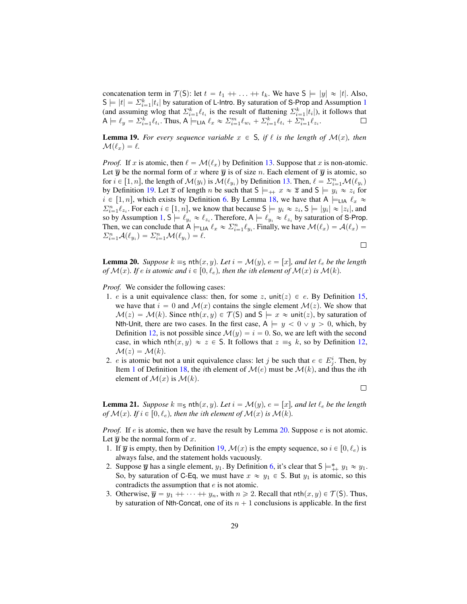concatenation term in  $\mathcal{T}(S)$ : let  $t = t_1 + \ldots + t_k$ . We have  $S \models |y| \approx |t|$ . Also,  $S \models |t| = \sum_{i=1}^{k} |t_i|$  $S \models |t| = \sum_{i=1}^{k} |t_i|$  $S \models |t| = \sum_{i=1}^{k} |t_i|$  by saturation of L-Intro. By saturation of S-Prop and Assumption 1 (and assuming wlog that  $\sum_{i=1}^{k} \ell_{t_i}$  is the result of flattening  $\sum_{i=1}^{k} |t_i|$ ), it follows that  $A \models \ell_y = \sum_{i=1}^k \ell_{t_i}$ . Thus,  $A \models_{\mathsf{LIA}} \ell_x \approx \sum_{i=1}^m \ell_{w_i} + \sum_{i=1}^k \ell_{t_i} + \sum_{i=1}^n \ell_{z_i}$ .

<span id="page-28-1"></span>**Lemma 19.** For every sequence variable  $x \in S$ , if  $\ell$  is the length of  $\mathcal{M}(x)$ , then  $\mathcal{M}(\ell_x) = \ell$ .

*Proof.* If x is atomic, then  $\ell = \mathcal{M}(\ell_x)$  by Definition [13.](#page-23-2) Suppose that x is non-atomic. Let  $\overline{y}$  be the normal form of x where  $\overline{y}$  is of size n. Each element of  $\overline{y}$  is atomic, so for  $i \in [1, n]$ , the length of  $\mathcal{M}(y_i)$  is  $\mathcal{M}(\ell_{y_i})$  by Definition [13.](#page-23-2) Then,  $\ell = \sum_{i=1}^n \mathcal{M}(\ell_{y_i})$ by Definition [19.](#page-24-1) Let  $\overline{z}$  of length n be such that  $S \models_{+i} x \approx \overline{z}$  and  $S \models y_i \approx z_i$  for  $i \in [1, n]$ , which exists by Definition [6.](#page-7-3) By Lemma [18,](#page-27-0) we have that A  $\models$ LIA  $\ell_x \approx$  $\sum_{i=1}^{n} \ell_{z_i}$ . For each  $i \in [1, n]$ , we know that because  $S \models y_i \approx z_i$ ,  $S \models |y_i| \approx |z_i|$ , and so by Assumption [1,](#page-6-1)  $S \models \ell_{y_i} \approx \ell_{z_i}$ . Therefore,  $A \models \ell_{y_i} \approx \ell_{z_i}$  by saturation of S-Prop. Then, we can conclude that  $\overline{A} \models_{\text{LIA}} \ell_x \approx \sum_{i=1}^n \ell_{y_i}$ . Finally, we have  $\mathcal{M}(\ell_x) = \mathcal{A}(\ell_x) =$  $\sum_{i=1}^n \mathcal{A}(\ell_{y_i}) = \sum_{i=1}^n \mathcal{M}(\ell_{y_i}) = \ell.$ 

 $\Box$ 

<span id="page-28-0"></span>**Lemma 20.** *Suppose*  $k \equiv_S \text{nth}(x, y)$ *. Let*  $i = \mathcal{M}(y)$ *,*  $e = [x]$ *, and let*  $\ell_e$  *be the length of*  $\mathcal{M}(x)$ . If e is atomic and  $i \in [0, \ell_e)$ , then the *i*th element of  $\mathcal{M}(x)$  is  $\mathcal{M}(k)$ .

*Proof.* We consider the following cases:

- 1. e is a unit equivalence class: then, for some z, unit(z)  $\in$  e. By Definition [15,](#page-23-3) we have that  $i = 0$  and  $\mathcal{M}(x)$  contains the single element  $\mathcal{M}(z)$ . We show that  $\mathcal{M}(z) = \mathcal{M}(k)$ . Since nth $(x, y) \in \mathcal{T}(S)$  and  $S \models x \approx \text{unit}(z)$ , by saturation of Nth-Unit, there are two cases. In the first case,  $A \models y < 0 \lor y > 0$ , which, by Definition [12,](#page-23-1) is not possible since  $\mathcal{M}(y) = i = 0$ . So, we are left with the second case, in which nth $(x, y) \approx z \in S$ . It follows that  $z \equiv_S k$ , so by Definition [12,](#page-23-1)  $\mathcal{M}(z) = \mathcal{M}(k)$ .
- 2. *e* is atomic but not a unit equivalence class: let j be such that  $e \in E_j^i$ . Then, by Item [1](#page-24-4) of Definition [18,](#page-24-0) the *i*th element of  $\mathcal{M}(e)$  must be  $\mathcal{M}(k)$ , and thus the *i*th element of  $\mathcal{M}(x)$  is  $\mathcal{M}(k)$ .

 $\Box$ 

<span id="page-28-2"></span>**Lemma 21.** *Suppose*  $k \equiv s$  nth $(x, y)$ *. Let*  $i = \mathcal{M}(y)$ *,*  $e = [x]$ *, and let*  $\ell_e$  *be the length of*  $\mathcal{M}(x)$ *. If*  $i \in [0, \ell_e)$ *, then the ith element of*  $\mathcal{M}(x)$  *is*  $\mathcal{M}(k)$ *.* 

*Proof.* If  $e$  is atomic, then we have the result by Lemma [20.](#page-28-0) Suppose  $e$  is not atomic. Let  $\overline{y}$  be the normal form of x.

- 1. If  $\overline{y}$  is empty, then by Definition [19,](#page-24-1)  $\mathcal{M}(x)$  is the empty sequence, so  $i \in [0, \ell_e)$  is always false, and the statement holds vacuously.
- 2. Suppose  $\overline{y}$  has a single element,  $y_1$ . By Definition [6,](#page-7-3) it's clear that  $S \models^*_{++} y_1 \approx y_1$ . So, by saturation of C-Eq, we must have  $x \approx y_1 \in S$ . But  $y_1$  is atomic, so this contradicts the assumption that e is not atomic.
- 3. Otherwise,  $\overline{y} = y_1 + \cdots + y_n$ , with  $n \ge 2$ . Recall that  $nth(x, y) \in \mathcal{T}(S)$ . Thus, by saturation of Nth-Concat, one of its  $n + 1$  conclusions is applicable. In the first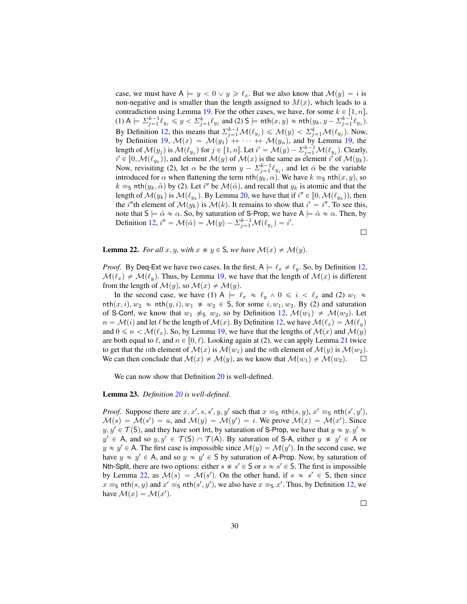case, we must have  $A = y < 0 \lor y \ge \ell_x$ . But we also know that  $\mathcal{M}(y) = i$  is non-negative and is smaller than the length assigned to  $M(x)$ , which leads to a contradiction using Lemma [19.](#page-28-1) For the other cases, we have, for some  $k \in [1, n]$ , (1)  $A \models \sum_{j=1}^{k-1} \ell_{y_j} \leq y < \sum_{j=1}^{k} \ell_{y_j}$  and (2)  $S \models \text{nth}(x, y) \approx \text{nth}(y_k, y - \sum_{j=1}^{k-1} \ell_{y_j}).$ By Definition [12,](#page-23-1) this means that  $\sum_{j=1}^{k-1} \mathcal{M}(\ell_{y_j}) \leq \mathcal{M}(y) < \sum_{j=1}^{k} \mathcal{M}(\ell_{y_j})$ . Now, by Definition [19,](#page-28-1)  $\mathcal{M}(x) = \mathcal{M}(y_1) + \cdots + \mathcal{M}(y_n)$ , and by Lemma 19, the length of  $\mathcal{M}(y_j)$  is  $\mathcal{M}(\ell_{y_j})$  for  $j \in [1, n]$ . Let  $i' = \mathcal{M}(y) - \sum_{j=1}^{k-1} \mathcal{M}(\ell_{y_j})$ . Clearly,  $i' \in [0, \mathcal{M}(\ell_{y_k}))$ , and element  $\mathcal{M}(y)$  of  $\mathcal{M}(x)$  is the same as element i' of  $\mathcal{M}(y_k)$ . Now, revisiting (2), let  $\alpha$  be the term  $y - \sum_{j=1}^{k-1} \ell_{y_j}$ , and let  $\hat{\alpha}$  be the variable introduced for  $\alpha$  when flattening the term nth $(y_k, \alpha)$ . We have  $k \equiv_S \text{nth}(x, y)$ , so  $k \equiv_S \text{nth}(y_k, \hat{\alpha})$  by (2). Let i'' be  $\mathcal{M}(\hat{\alpha})$ , and recall that  $y_k$  is atomic and that the length of  $\mathcal{M}(y_k)$  is  $\mathcal{M}(\ell_{y_k})$ . By Lemma [20,](#page-28-0) we have that if  $i'' \in [0, \mathcal{M}(\ell_{y_k}))$ , then the *i*<sup>n</sup>th element of  $\mathcal{M}(y_k)$  is  $\mathcal{M}(k)$ . It remains to show that  $i' = i''$ . To see this, note that  $S \models \hat{\alpha} \approx \alpha$ . So, by saturation of S-Prop, we have  $A \models \hat{\alpha} \approx \alpha$ . Then, by Definition [12,](#page-23-1)  $i'' = \mathcal{M}(\hat{\alpha}) = \mathcal{M}(y) - \sum_{j=1}^{k-1} \mathcal{M}(\ell_{y_j}) = i'.$ 

 $\Box$ 

<span id="page-29-0"></span>**Lemma 22.** *For all*  $x, y$ *, with*  $x \not\approx y \in S$ *, we have*  $\mathcal{M}(x) \neq \mathcal{M}(y)$ *.* 

*Proof.* By Deq-Ext we have two cases. In the first,  $A \models \ell_x \neq \ell_y$ . So, by Definition [12,](#page-23-1)  $\mathcal{M}(\ell_x) \neq \mathcal{M}(\ell_y)$ . Thus, by Lemma [19,](#page-28-1) we have that the length of  $\mathcal{M}(x)$  is different from the length of  $\mathcal{M}(y)$ , so  $\mathcal{M}(x) \neq \mathcal{M}(y)$ .

In the second case, we have (1) A  $\vert e \vert_x \approx \ell_y \wedge 0 \leq i \leq \ell_x$  and (2)  $w_1 \approx$ nth $(x, i), w_2 \approx \text{nth}(y, i), w_1 \not\approx w_2 \in S$ , for some  $i, w_1, w_2$ . By (2) and saturation of S-Conf, we know that  $w_1 \neq w_2$ , so by Definition [12,](#page-23-1)  $\mathcal{M}(w_1) \neq \mathcal{M}(w_2)$ . Let  $n = \mathcal{M}(i)$  and let  $\ell$  be the length of  $\mathcal{M}(x)$ . By Definition [12,](#page-23-1) we have  $\mathcal{M}(\ell_x) = \mathcal{M}(\ell_y)$ and  $0 \le n < \mathcal{M}(\ell_x)$ . So, by Lemma [19,](#page-28-1) we have that the lengths of  $\mathcal{M}(x)$  and  $\mathcal{M}(y)$ are both equal to  $\ell$ , and  $n \in [0, \ell)$ . Looking again at (2), we can apply Lemma [21](#page-28-2) twice to get that the *n*th element of  $\mathcal{M}(x)$  is  $\mathcal{M}(w_1)$  and the *n*th element of  $\mathcal{M}(y)$  is  $\mathcal{M}(w_2)$ . We can then conclude that  $\mathcal{M}(x) \neq \mathcal{M}(y)$ , as we know that  $\mathcal{M}(w_1) \neq \mathcal{M}(w_2)$ .  $\Box$ 

We can now show that Definition [20](#page-25-0) is well-defined.

#### Lemma 23. *Definition [20](#page-25-0) is well-defined.*

*Proof.* Suppose there are  $x, x', s, s', y, y'$  such that  $x \equiv_S \text{nth}(s, y), x' \equiv_S \text{nth}(s', y'),$  $\mathcal{M}(s) = \mathcal{M}(s') = a$ , and  $\mathcal{M}(y) = \mathcal{M}(y') = i$ . We prove  $\mathcal{M}(x) = \mathcal{M}(x')$ . Since  $y, y' \in \mathcal{T}(\mathsf{S})$ , and they have sort Int, by saturation of S-Prop, we have that  $y \approx y, y' \approx$  $y' \in A$ , and so  $y, y' \in \mathcal{T}(S) \cap \mathcal{T}(A)$ . By saturation of S-A, either  $y \not\approx y' \in A$  or  $y \approx y' \in A$ . The first case is impossible since  $\mathcal{M}(y) = \mathcal{M}(y')$ . In the second case, we have  $y \approx y' \in A$ , and so  $y \approx y' \in S$  by saturation of A-Prop. Now, by saturation of Nth-Split, there are two options: either  $s \not\approx s' \in S$  or  $s \approx s' \in S$ . The first is impossible by Lemma [22,](#page-29-0) as  $\mathcal{M}(s) = \mathcal{M}(s')$ . On the other hand, if  $s \approx s' \in S$ , then since  $x \equiv_S \text{nth}(s, y)$  and  $x' \equiv_S \text{nth}(s', y')$ , we also have  $x \equiv_S x'$ . Thus, by Definition [12,](#page-23-1) we have  $\mathcal{M}(x) = \mathcal{M}(x')$ .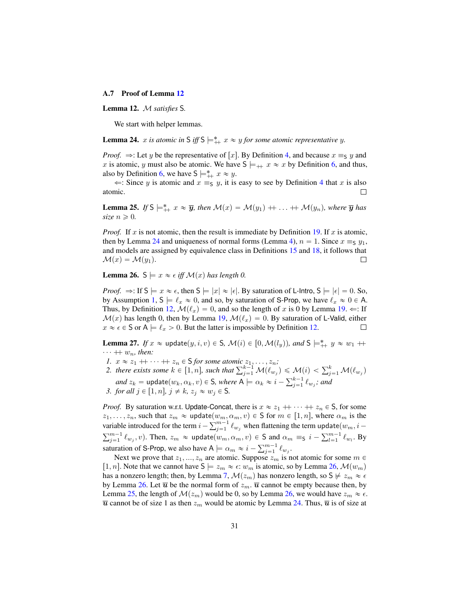#### <span id="page-30-0"></span>A.7 Proof of Lemma [12](#page-25-2)

Lemma 12. M *satisfies* S*.*

We start with helper lemmas.

<span id="page-30-1"></span>**Lemma 24.** x is atomic in S iff  $S \models^*_{++} x \approx y$  for some atomic representative y.

*Proof.*  $\Rightarrow$ : Let y be the representative of [x]. By Definition [4,](#page-6-4) and because  $x \equiv_S y$  and x is atomic, y must also be atomic. We have  $S \models_{++} x \approx x$  by Definition [6,](#page-7-3) and thus, also by Definition [6,](#page-7-3) we have  $S \models^*_{++} x \approx y$ .

 $\Leftarrow$ : Since y is atomic and  $x \equiv_S y$ , it is easy to see by Definition [4](#page-6-4) that x is also  $\Box$ atomic.

<span id="page-30-3"></span>**Lemma 25.** If  $S \models^* _{++} x \approx \overline{y}$ , then  $\mathcal{M}(x) = \mathcal{M}(y_1) + \ldots + \mathcal{M}(y_n)$ , where  $\overline{y}$  has *size*  $n \geq 0$ *.* 

*Proof.* If x is not atomic, then the result is immediate by Definition [19.](#page-24-1) If x is atomic, then by Lemma [24](#page-30-1) and uniqueness of normal forms (Lemma [4\)](#page-8-2),  $n = 1$ . Since  $x \equiv_S y_1$ , and models are assigned by equivalence class in Definitions [15](#page-23-3) and [18,](#page-24-0) it follows that  $\mathcal{M}(x) = \mathcal{M}(y_1).$  $\Box$ 

<span id="page-30-2"></span>**Lemma 26.**  $S \models x \approx \epsilon$  *iff*  $\mathcal{M}(x)$  *has length 0.* 

*Proof.*  $\Rightarrow$ : If  $S \models x \approx \epsilon$ , then  $S \models |x| \approx |\epsilon|$ . By saturation of L-Intro,  $S \models |\epsilon| = 0$ . So, by Assumption [1,](#page-6-1)  $S \models \ell_x \approx 0$ , and so, by saturation of S-Prop, we have  $\ell_x \approx 0 \in A$ . Thus, by Definition [12,](#page-23-1)  $\mathcal{M}(\ell_x) = 0$ , and so the length of x is 0 by Lemma [19.](#page-28-1)  $\Leftarrow$ : If  $\mathcal{M}(x)$  has length 0, then by Lemma [19,](#page-28-1)  $\mathcal{M}(\ell_x) = 0$ . By saturation of L-Valid, either  $x \approx \epsilon \in S$  or A  $\models \ell_x > 0$ . But the latter is impossible by Definition [12.](#page-23-1)  $\Box$ 

<span id="page-30-5"></span>**Lemma 27.** If  $x \approx$  update $(y, i, v) \in S$ ,  $\mathcal{M}(i) \in [0, \mathcal{M}(l_y))$ , and  $S \models^*_{++} y \approx w_1 + \cdots$  $\cdots$   $\cdots$   $\cdots$  *w<sub>n</sub>*, *then:* 

- <span id="page-30-4"></span>
- *1.*  $x \approx z_1 + \cdots + z_n \in \mathsf{S}$  *for some atomic*  $z_1, \ldots, z_n$ ;<br> *2. there exists some*  $k \in [1, n]$ *, such that*  $\sum_{j=1}^{k-1} \mathcal{M}(\ell_{w_j}) \leq \mathcal{M}(i) < \sum_{j=1}^{k} \mathcal{M}(\ell_{w_j})$ *and*  $z_k = \text{update}(w_k, \alpha_k, v) \in S$ , where  $A \models \alpha_k \approx i - \sum_{j=1}^{k-1} \ell_{w_j}$ ; and
- *3. for all*  $j \in [1, n], j \neq k, z_j \approx w_j \in S$ .

*Proof.* By saturation w.r.t. Update-Concat, there is  $x \approx z_1 + \cdots + z_n \in S$ , for some  $z_1, \ldots, z_n$ , such that  $z_m \approx$  update $(w_m, \alpha_m, v) \in S$  for  $m \in [1, n]$ , where  $\alpha_m$  is the  $z_1, \ldots, z_n$ , such that  $z_m \approx \text{update}(w_m, \alpha_m, v) \in S$  for  $m \in [1, n]$ , where  $\alpha_m$  is the variable introduced for the term  $i - \sum_{j=1}^{m-1} \ell_{w_j}$  when flattening the term  $\text{update}(w_m, i - \sum_{j=1}^{m-1} \ell_{w_j})$ .  $_{j=1}^{m-1}\ell_{w_j},v).$  Then,  $z_m\,\approx\,$  update $(w_m,\alpha_m,v)\in\mathsf{S}$  and  $\alpha_m\,\equiv_\mathsf{S} \,i - \sum_{l=1}^{m-1}\ell_{w_l}.$  By  $\sum_{j=1}^{\infty}$   $\sum_{j=1}^{\infty}$ ,  $\sum_{j=1}^{\infty}$ ,  $\sum_{j=1}^{\infty}$  and  $\sum_{j=1}^{\infty}$  and  $\sum_{j=1}^{\infty}$   $\sum_{j=1}^{\infty}$   $\sum_{j=1}^{\infty}$   $\sum_{j=1}^{\infty}$   $\sum_{j=1}^{\infty}$   $\sum_{j=1}^{\infty}$   $\sum_{j=1}^{\infty}$   $\sum_{j=1}^{\infty}$   $\sum_{j=1}^{\infty}$ 

Next we prove that  $z_1, ..., z_n$  are atomic. Suppose  $z_m$  is not atomic for some  $m \in$ [1, n]. Note that we cannot have  $S \models z_m \approx \epsilon \colon w_m$  is atomic, so by Lemma [26,](#page-30-2)  $\mathcal{M}(w_m)$ has a nonzero length; then, by Lemma [7,](#page-23-6)  $\mathcal{M}(z_m)$  has nonzero length, so S  $\not\models z_m \approx \epsilon$ by Lemma [26.](#page-30-2) Let  $\overline{u}$  be the normal form of  $z_m$ .  $\overline{u}$  cannot be empty because then, by Lemma [25,](#page-30-3) the length of  $\mathcal{M}(z_m)$  would be 0, so by Lemma [26,](#page-30-2) we would have  $z_m \approx \epsilon$ .  $\overline{u}$  cannot be of size 1 as then  $z_m$  would be atomic by Lemma [24.](#page-30-1) Thus,  $\overline{u}$  is of size at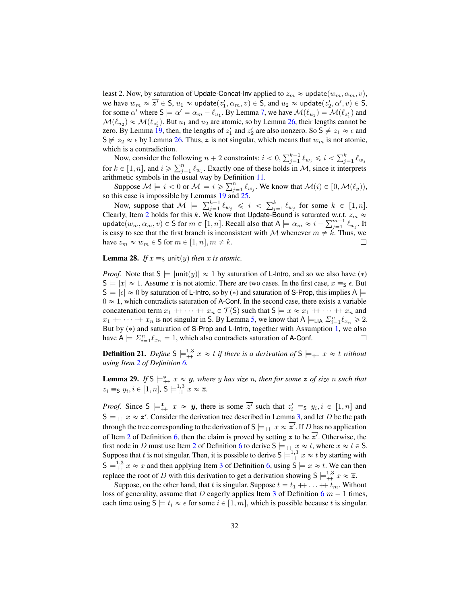least 2. Now, by saturation of Update-Concat-Inv applied to  $z_m \approx \text{update}(w_m, \alpha_m, v)$ , we have  $w_m \approx z' \in S$ ,  $u_1 \approx$  update $(z'_1, \alpha_m, v) \in S$ , and  $u_2 \approx$  update $(z'_2, \alpha', v) \in S$ , for some  $\alpha'$  where  $S \models \alpha' = \alpha_m - \ell_{u_1}$ . By Lemma [7,](#page-23-6) we have  $\mathcal{M}(\ell_{u_1}) = \mathcal{M}(\ell_{z'_1})$  and  $\mathcal{M}(\ell_{u_2}) \approx \mathcal{M}(\ell_{z'_2})$ . But  $u_1$  and  $u_2$  are atomic, so by Lemma [26,](#page-30-2) their lengths cannot be zero. By Lemma [19,](#page-28-1) then, the lengths of  $z'_1$  and  $z'_2$  are also nonzero. So S  $\not\models z_1 \approx \epsilon$  and  $S \not\models z_2 \approx \epsilon$  by Lemma [26.](#page-30-2) Thus,  $\overline{z}$  is not singular, which means that  $w_m$  is not atomic, which is a contradiction.

ch is a contradiction.<br>Now, consider the following  $n + 2$  constraints:  $i < 0$ ,  $\sum_{j=1}^{k-1} \ell_{w_j} \leqslant i < \sum_{j}^{k}$ following  $n + 2$  constraints:  $i < 0$ ,  $\sum_{j=1}^{k-1} \ell_{w_j} \leq i < \sum_{j=1}^{k} \ell_{w_j}$ <br> $\sum_{i=1}^{n} \ell_{w_i}$ for  $k \in [1, n]$ , and  $i \ge \sum_{j=1}^n \ell_{w_j}$ . Exactly one of these holds in M, since it interprets arithmetic symbols in the usual way by Definition [11.](#page-23-0)

hmetic symbols in the usual way by Definduction  $\text{Suppose } \mathcal{M} \models i < 0 \text{ or } \mathcal{M} \models i \geq \sum_{i=1}^{n}$  $\int_{j=1}^{n} \ell_{w_j}$ . We know that  $\mathcal{M}(i) \in [0, \mathcal{M}(\ell_y)),$ so this case is impossible by Lemmas [19](#page-28-1) and [25.](#page-30-3)

The case is impossible by Lemmas 19 and 25.<br>Now, suppose that  $M \models \sum_{j=1}^{k-1} \ell_{w_j} \leq i < \sum_{j}^{k}$  $\sum_{j=1}^{\kappa} \ell_{w_j}$  for some  $k \in [1, n].$ Clearly, Item [2](#page-30-4) holds for this k. We know that Update-Bound is saturated w.r.t.  $z_m \approx$ Clearly, Item 2 holds for this k. We know that Update-Bound is saturated w.r.t.  $z_m \approx$ <br>update $(w_m, \alpha_m, v) \in S$  for  $m \in [1, n]$ . Recall also that  $A \models \alpha_m \approx i - \sum_{j=1}^{m-1} \ell_{w_j}$ . It is easy to see that the first branch is inconsistent with M whenever  $m \neq k$ . Thus, we have  $z_m \approx w_m \in \mathsf{S}$  for  $m \in [1, n], m \neq k$ .  $\Box$ 

<span id="page-31-1"></span>**Lemma 28.** *If*  $x \equiv_S$  unit(y) *then* x *is atomic.* 

*Proof.* Note that  $S \models |unit(y)| \approx 1$  by saturation of L-Intro, and so we also have (\*)  $S \models |x| \approx 1$ . Assume x is not atomic. There are two cases. In the first case,  $x \equiv_S \epsilon$ . But  $S \models |\epsilon| \approx 0$  by saturation of L-Intro, so by (\*) and saturation of S-Prop, this implies A  $\models$  $0 \approx 1$ , which contradicts saturation of A-Conf. In the second case, there exists a variable concatenation term  $x_1 + \cdots + x_n \in \mathcal{T}(\mathsf{S})$  such that  $\mathsf{S} \models x \approx x_1 + \cdots + x_n$  and  $x_1 + \cdots + x_n$  is not singular in S. By Lemma [5,](#page-19-0) we know that  $A \models_{\textsf{LLA}} \sum_{i=1}^n \ell_{x_i} \geq 2$ . But by  $(*)$  and saturation of S-Prop and L-Intro, together with Assumption [1,](#page-6-1) we also have  $A \models \sum_{i=1}^{n} \ell_{x_n} = 1$ , which also contradicts saturation of A-Conf. П

**Definition 21.** Define  $S \models_{++}^{1,3} x \approx t$  if there is a derivation of  $S \models_{++} x \approx t$  without *using Item [2](#page-7-1) of Definition [6.](#page-7-3)*

<span id="page-31-0"></span>**Lemma 29.** If  $S \models^* _{++} x \approx \overline{y}$ , where y has size n, then for some  $\overline{z}$  of size n such that  $z_i \equiv_S y_i, i \in [1, n], S \models_{++}^{1,3} x \approx \overline{z}.$ 

*Proof.* Since  $S \models^* _{++} x \approx \overline{y}$ , there is some  $z'$  such that  $z'_i \equiv_S y_i, i \in [1, n]$  and  $S \models_{++} x \approx \mathbf{z}'$ . Consider the derivation tree described in Lemma [3,](#page-8-1) and let D be the path through the tree corresponding to the derivation of S  $\models_{++} x \approx \overline{z'}$ . If D has no application of Item [2](#page-7-1) of Definition [6,](#page-7-3) then the claim is proved by setting  $\bar{z}$  to be  $z'$ . Otherwise, the first node in D must use Item [2](#page-7-1) of Definition [6](#page-7-3) to derive  $S \models_{++} x \approx t$ , where  $x \approx t \in S$ . Suppose that t is not singular. Then, it is possible to derive  $S \models_{++}^{1,3} x \approx t$  by starting with  $S \models_{++}^{1,3} x \approx x$  $S \models_{++}^{1,3} x \approx x$  $S \models_{++}^{1,3} x \approx x$  and then applying Item 3 of Definition [6,](#page-7-3) using  $S \models x \approx t$ . We can then replace the root of D with this derivation to get a derivation showing  $S \models_{++}^{1,3} x \approx \overline{z}$ .

Suppose, on the other hand, that t is singular. Suppose  $t = t_1 + \ldots + t_m$ . Without loss of generality, assume that D eagerly applies Item [3](#page-7-2) of Definition [6](#page-7-3)  $m - 1$  times, each time using  $S \models t_i \approx \epsilon$  for some  $i \in [1, m]$ , which is possible because t is singular.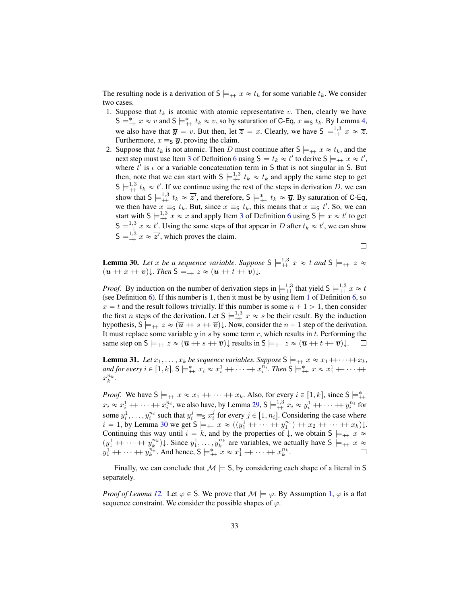The resulting node is a derivation of  $S \models_{+t} x \approx t_k$  for some variable  $t_k$ . We consider two cases.

- 1. Suppose that  $t_k$  is atomic with atomic representative v. Then, clearly we have  $S \models^*_{++} x \approx v$  and  $S \models^*_{++} t_k \approx v$ , so by saturation of C-Eq,  $x \equiv_S t_k$ . By Lemma [4,](#page-8-2) we also have that  $\overline{y} = v$ . But then, let  $\overline{z} = x$ . Clearly, we have  $S \models_{++}^{1,3} x \approx \overline{z}$ . Furthermore,  $x \equiv_S \overline{y}$ , proving the claim.
- 2. Suppose that  $t_k$  is not atomic. Then D must continue after  $S \models_{+k} x \approx t_k$ , and the next step must use Item [3](#page-7-2) of Definition [6](#page-7-3) using  $S \models t_k \approx t'$  to derive  $S \models_{++} x \approx t'$ , where  $t'$  is  $\epsilon$  or a variable concatenation term in S that is not singular in S. But then, note that we can start with  $S \models_{++}^{1,3} t_k \approx t_k$  and apply the same step to get  $S \models_{++}^{1,3} t_k \approx t'$ . If we continue using the rest of the steps in derivation D, we can show that  $S \models_{++}^{1,3} t_k \approx \overline{z'}$ , and therefore,  $S \models_{++}^{*} t_k \approx \overline{y}$ . By saturation of C-Eq, we then have  $x \equiv_S t_k$ . But, since  $x \equiv_S t_k$ , this means that  $x \equiv_S t'$ . So, we can start with  $S \models_{++}^{1,3} x \approx x$  $S \models_{++}^{1,3} x \approx x$  $S \models_{++}^{1,3} x \approx x$  and apply Item 3 of Definition [6](#page-7-3) using  $S \models x \approx t'$  to get  $S \models_{++}^{1,3} x \approx t'$ . Using the same steps of that appear in D after  $t_k \approx t'$ , we can show  $S \models_{+}^{1,3} x \approx \overline{z'}$ , which proves the claim.

$$
\Box
$$

<span id="page-32-0"></span>**Lemma 30.** Let x be a sequence variable. Suppose  $S \models_{++}^{1,3} x \approx t$  and  $S \models_{++} z \approx t$  $(\overline{u} + x + \overline{v}) \downarrow$ . Then  $S \models_{++} z \approx (\overline{u} + t + \overline{v}) \downarrow$ .

*Proof.* By induction on the number of derivation steps in  $\models_{++}^{1,3}$  that yield  $S \models_{++}^{1,3} x \approx t$ (see Definition  $6$ ). If this number is [1](#page-7-4), then it must be by using Item 1 of Definition  $6$ , so  $x = t$  and the result follows trivially. If this number is some  $n + 1 > 1$ , then consider the first *n* steps of the derivation. Let  $S \models_{++}^{1,3} x \approx s$  be their result. By the induction hypothesis,  $S \models_{+i} z \approx (\overline{u} + s + \overline{v}) \downarrow$ . Now, consider the  $n + 1$  step of the derivation. It must replace some variable  $y$  in  $s$  by some term  $r$ , which results in  $t$ . Performing the same step on  $S \models_{+i} z \approx (\overline{u} + s + \overline{v}) \downarrow$  results in  $S \models_{+i} z \approx (\overline{u} + t + \overline{v}) \downarrow$ .  $\Box$ 

<span id="page-32-1"></span>**Lemma 31.** *Let*  $x_1, \ldots, x_k$  *be sequence variables. Suppose*  $S \models_{++} x \approx x_1 + \cdots + x_k$ *, and for every*  $i \in [1, k]$ ,  $S \models^*_{++} x_i \approx x_i^1 + \cdots + x_i^{n_i}$ . *Then*  $S \models^*_{++} x \approx x_1^1 + \cdots +$  $x_k^{n_k}$ .

*Proof.* We have  $S \models_{++} x \approx x_1 + \cdots + x_k$ . Also, for every  $i \in [1, k]$ , since  $S \models^*_{++}$  $x_i \approx x_i^1 + \cdots + x_i^{n_i}$ , we also have, by Lemma [29,](#page-31-0) S  $\models_{+i}^{1,3} x_i \approx y_i^1 + \cdots + y_i^{n_i}$  for some  $y_i^1, \ldots, y_i^{n_i}$  such that  $y_i^j \equiv_S x_i^j$  for every  $j \in [1, n_i]$ . Considering the case where  $i = 1$ , by Lemma [30](#page-32-0) we get  $S \models_{++} x \approx ((y_1^1 + \cdots + y_1^{n_1}) + x_2 + \cdots + x_k) \downarrow$ . Continuing this way until  $i = k$ , and by the properties of  $\downarrow$ , we obtain S  $\models_{++} x \approx$  $(y_1^1 + \cdots + y_k^{n_k}) \downarrow$ . Since  $y_1^1, \ldots, y_k^{n_k}$  are variables, we actually have  $S \models_{++} x \approx$  $y_1^1 + \cdots + y_k^{n_k}$ . And hence,  $S \models^*_{++} x \approx x_1^1 + \cdots + x_k^{n_k}$ .  $\Box$ 

Finally, we can conclude that  $M \models S$ , by considering each shape of a literal in S separately.

*Proof of Lemma [12.](#page-25-2)* Let  $\varphi \in S$ . We prove that  $M \models \varphi$ . By Assumption [1,](#page-6-1)  $\varphi$  is a flat sequence constraint. We consider the possible shapes of  $\varphi$ .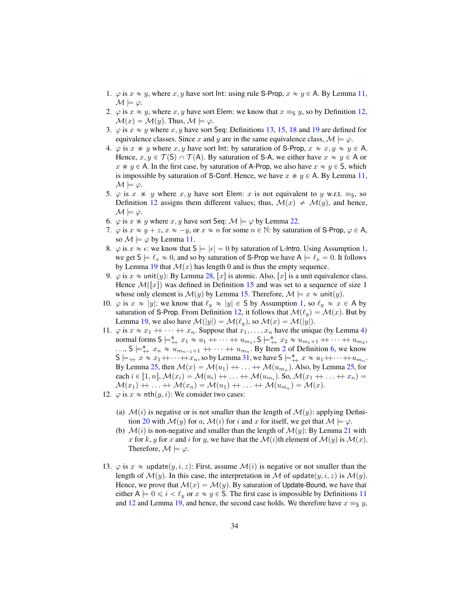- 1.  $\varphi$  is  $x \approx y$ , where  $x, y$  have sort lnt: using rule S-Prop,  $x \approx y \in A$ . By Lemma [11,](#page-25-3)  $\mathcal{M} \models \varphi.$
- 2.  $\varphi$  is  $x \approx y$ , where  $x, y$  have sort Elem: we know that  $x \equiv_{\mathsf{S}} y$ , so by Definition [12,](#page-23-1)  $\mathcal{M}(x) = \mathcal{M}(y)$ . Thus,  $\mathcal{M} \models \varphi$ .
- 3.  $\varphi$  is  $x \approx y$  where x, y have sort Seq: Definitions [13,](#page-23-2) [15,](#page-23-3) [18](#page-24-0) and [19](#page-24-1) are defined for equivalence classes. Since x and y are in the same equivalence class,  $\mathcal{M} \models \varphi$ .
- 4.  $\varphi$  is  $x \not\approx y$  where  $x, y$  have sort Int: by saturation of S-Prop,  $x \approx x, y \approx y \in A$ . Hence,  $x, y \in \mathcal{T}(S) \cap \mathcal{T}(A)$ . By saturation of S-A, we either have  $x \approx y \in A$  or  $x \not\approx y \in A$ . In the first case, by saturation of A-Prop, we also have  $x \approx y \in S$ , which is impossible by saturation of S-Conf. Hence, we have  $x \not\approx y \in A$ . By Lemma [11,](#page-25-3)  $\mathcal{M} \models \varphi.$
- 5.  $\varphi$  is  $x \not\approx y$  where  $x, y$  have sort Elem: x is not equivalent to y w.r.t.  $\equiv$  s, so Definition [12](#page-23-1) assigns them different values; thus,  $\mathcal{M}(x) \neq \mathcal{M}(y)$ , and hence,  $\mathcal{M} \models \varphi.$
- 6.  $\varphi$  is  $x \not\approx y$  where  $x, y$  have sort Seq:  $\mathcal{M} \models \varphi$  by Lemma [22.](#page-29-0)
- 7.  $\varphi$  is  $x \approx y + z$ ,  $x \approx -y$ , or  $x \approx n$  for some  $n \in \mathbb{N}$ : by saturation of S-Prop,  $\varphi \in A$ , so  $M \models \varphi$  by Lemma [11.](#page-25-3)
- <span id="page-33-1"></span>8.  $\varphi$  is  $x \approx \epsilon$ : we know that  $S \models |\epsilon| = 0$  by saturation of L-Intro. Using Assumption [1,](#page-6-1) we get  $S \models \ell_x \approx 0$ , and so by saturation of S-Prop we have  $A \models \ell_x = 0$ . It follows by Lemma [19](#page-28-1) that  $\mathcal{M}(x)$  has length 0 and is thus the empty sequence.
- 9.  $\varphi$  is  $x \approx \text{unit}(y)$ : By Lemma [28,](#page-31-1)  $[x]$  is atomic. Also,  $[x]$  is a unit equivalence class. Hence  $\mathcal{M}([x])$  was defined in Definition [15](#page-23-3) and was set to a sequence of size 1 whose only element is  $\mathcal{M}(y)$  by Lemma [15.](#page-26-1) Therefore,  $\mathcal{M} \models x \approx \text{unit}(y)$ .
- 10.  $\varphi$  is  $x \approx |y|$ : we know that  $\ell_y \approx |y| \in S$  by Assumption [1,](#page-6-1) so  $\ell_y \approx x \in A$  by saturation of S-Prop. From Definition [12,](#page-23-1) it follows that  $\mathcal{M}(\ell_y) = \mathcal{M}(x)$ . But by Lemma [19,](#page-28-1) we also have  $\mathcal{M}(|y|) = \mathcal{M}(\ell_y)$ , so  $\mathcal{M}(x) = \mathcal{M}(|y|)$ .
- <span id="page-33-0"></span>11.  $\varphi$  is  $x \approx x_1 + \cdots + x_n$ . Suppose that  $x_1, \ldots, x_n$  have the unique (by Lemma [4\)](#page-8-2) normal forms  $S \models^*_{++} x_1 \approx u_1 + \cdots + u_{m_1}$ ,  $S \models^*_{++} x_2 \approx u_{m_1+1} + \cdots + u_{m_2}$ , ...,  $S \models^*_{++} x_n \approx u_{m_{n-1}+1} + \cdots + u_{m_n}$ . By Item [2](#page-7-1) of Definition [6,](#page-7-3) we know  $S \models_{++} x \approx x_1 + \cdots + x_n$ , so by Lemma [31,](#page-32-1) we have  $S \models^*_{++} x \approx u_1 + \cdots + u_{m_n}$ . By Lemma [25,](#page-30-3) then  $\mathcal{M}(x) = \mathcal{M}(u_1) + \ldots + \mathcal{M}(u_{m_n})$ . Also, by Lemma 25, for each  $i \in [1, n], M(x_i) = M(u_i) + \ldots + M(u_{m_i})$ . So,  $M(x_1 + \ldots + x_n) =$  $\mathcal{M}(x_1) + \ldots + \mathcal{M}(x_n) = \mathcal{M}(u_1) + \ldots + \mathcal{M}(u_{m_n}) = \mathcal{M}(x).$
- 12.  $\varphi$  is  $x \approx \text{nth}(y, i)$ : We consider two cases:
	- (a)  $\mathcal{M}(i)$  is negative or is not smaller than the length of  $\mathcal{M}(y)$ : applying Defini-tion [20](#page-25-0) with  $\mathcal{M}(y)$  for a,  $\mathcal{M}(i)$  for i and x for itself, we get that  $\mathcal{M} \models \varphi$ .
	- (b)  $\mathcal{M}(i)$  is non-negative and smaller than the length of  $\mathcal{M}(y)$ : By Lemma [21](#page-28-2) with x for k, y for x and i for y, we have that the  $\mathcal{M}(i)$ th element of  $\mathcal{M}(y)$  is  $\mathcal{M}(x)$ . Therefore,  $\mathcal{M} \models \varphi$ .
- 13.  $\varphi$  is  $x \approx$  update $(y, i, z)$ : First, assume  $\mathcal{M}(i)$  is negative or not smaller than the length of  $\mathcal{M}(y)$ . In this case, the interpretation in M of update $(y, i, z)$  is  $\mathcal{M}(y)$ . Hence, we prove that  $\mathcal{M}(x) = \mathcal{M}(y)$ . By saturation of Update-Bound, we have that either A  $\models 0 \leq i < \ell_y$  or  $x \approx y \in S$ . The first case is impossible by Definitions [11](#page-23-0) and [12](#page-23-1) and Lemma [19,](#page-28-1) and hence, the second case holds. We therefore have  $x \equiv_S y$ ,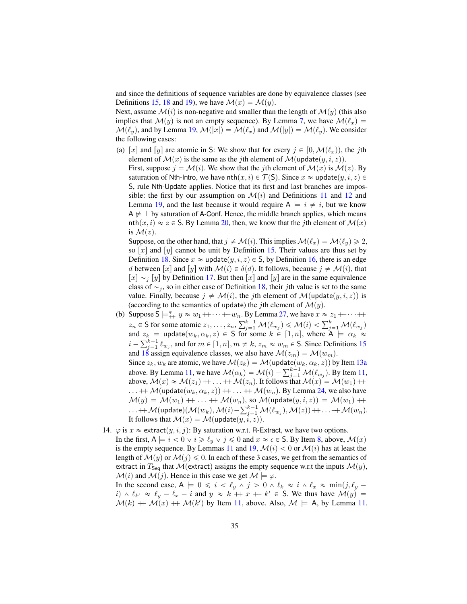and since the definitions of sequence variables are done by equivalence classes (see Definitions [15,](#page-23-3) [18](#page-24-0) and [19\)](#page-24-1), we have  $\mathcal{M}(x) = \mathcal{M}(y)$ .

Next, assume  $\mathcal{M}(i)$  is non-negative and smaller than the length of  $\mathcal{M}(y)$  (this also implies that  $\mathcal{M}(y)$  is not an empty sequence). By Lemma [7,](#page-23-6) we have  $\mathcal{M}(\ell_x)$  =  $\mathcal{M}(\ell_y)$ , and by Lemma [19,](#page-28-1)  $\mathcal{M}(|x|) = \mathcal{M}(\ell_x)$  and  $\mathcal{M}(|y|) = \mathcal{M}(\ell_y)$ . We consider the following cases:

<span id="page-34-0"></span>(a) [x] and [y] are atomic in S: We show that for every  $j \in [0,\mathcal{M}(\ell_x))$ , the jth element of  $\mathcal{M}(x)$  is the same as the jth element of  $\mathcal{M}(\text{update}(y, i, z))$ . First, suppose  $j = \mathcal{M}(i)$ . We show that the jth element of  $\mathcal{M}(x)$  is  $\mathcal{M}(z)$ . By saturation of Nth-Intro, we have  $nth(x, i) \in \mathcal{T}(S)$ . Since  $x \approx \text{update}(y, i, z) \in$ S, rule Nth-Update applies. Notice that its first and last branches are impossible: the first by our assumption on  $\mathcal{M}(i)$  and Definitions [11](#page-23-0) and [12](#page-23-1) and Lemma [19,](#page-28-1) and the last because it would require  $A \models i \neq i$ , but we know  $A \not\models \perp$  by saturation of A-Conf. Hence, the middle branch applies, which means nth $(x, i) \approx z \in S$ . By Lemma [20,](#page-28-0) then, we know that the jth element of  $\mathcal{M}(x)$ is  $\mathcal{M}(z)$ .

Suppose, on the other hand, that  $j \neq \mathcal{M}(i)$ . This implies  $\mathcal{M}(\ell_x) = \mathcal{M}(\ell_y) \geq 2$ , so  $\lceil x \rceil$  and  $\lceil y \rceil$  cannot be unit by Definition [15.](#page-23-3) Their values are thus set by Definition [18.](#page-24-0) Since  $x \approx$  update $(y, i, z) \in S$ , by Definition [16,](#page-24-6) there is an edge d between  $[x]$  and  $[y]$  with  $\mathcal{M}(i) \in \delta(d)$ . It follows, because  $j \neq \mathcal{M}(i)$ , that  $[x] \sim_i [y]$  by Definition [17.](#page-24-7) But then  $[x]$  and  $[y]$  are in the same equivalence class of  $\sim_i$ , so in either case of Definition [18,](#page-24-0) their jth value is set to the same value. Finally, because  $j \neq \mathcal{M}(i)$ , the jth element of  $\mathcal{M}(\text{update}(y, i, z))$  is (according to the semantics of update) the *j*th element of  $\mathcal{M}(y)$ .

- (b) Suppose S  $\models^*_{++} y \approx w_1 + \cdots + w_n$ . By Lemma [27,](#page-30-5) we have  $x \approx z_1 + \cdots +$ Suppose  $S \vDash_{++} y \approx w_1 + \cdots + w_n$ . By Lemma 27, we have  $x \approx z_1 + \cdots + z_n$ <br>  $z_n \in S$  for some atomic  $z_1, \ldots, z_n$ ,  $\sum_{j=1}^{k-1} M(\ell_{w_j}) \leq M(i) < \sum_{j=1}^{k} M(\ell_{w_j})$ and  $z_k$  = update $(w_k, \alpha_k, z) \in S$  for some  $k \in [1, n]$ , where  $A \models \alpha_k \approx$ and  $z_k =$  update $(w_k, \alpha_k, z) \in S$  for some  $k \in [1, n]$ , where  $A \models \alpha_k \approx i - \sum_{j=1}^{k-1} \ell_{w_j}$ , and for  $m \in [1, n]$ ,  $m \neq k$ ,  $z_m \approx w_m \in S$ . Since Definitions [15](#page-23-3) and [18](#page-24-0) assign equivalence classes, we also have  $\mathcal{M}(z_m) = \mathcal{M}(w_m)$ . Since  $z_k$ ,  $w_k$  are atomic, we have  $\mathcal{M}(z_k) = \mathcal{M}(\text{update}(w_k, \alpha_k, z))$  by Item [13a](#page-34-0) since  $z_k, w_k$  are atomic, we have  $\mathcal{M}(z_k) = \mathcal{M}(\mu)$  and  $(w_k, \alpha_k, z)$  by Item 13a above. By Lemma [11,](#page-33-0) we have  $\mathcal{M}(\alpha_k) = \mathcal{M}(i) - \sum_{j=1}^{k-1} \mathcal{M}(\ell_{w_j})$ . By Item 11, above,  $\mathcal{M}(x) \approx \mathcal{M}(z_1) + \ldots + \mathcal{M}(z_n)$ . It follows that  $\mathcal{M}(x) = \mathcal{M}(w_1) +$ ...  $\mathcal{M}(\text{update}(w_k, \alpha_k, z)) + \ldots + \mathcal{M}(w_n)$ . By Lemma [24,](#page-30-1) we also have  $\mathcal{M}(y) = \mathcal{M}(w_1) + \ldots + \mathcal{M}(w_n)$ , so  $\mathcal{M}(\mathsf{update}(y, i, z)) = \mathcal{M}(w_1) + \ldots + \mathcal{M}(\mathsf{update})(\mathcal{M}(w_k), \mathcal{M}(i) - \sum_{j=1}^{k-1} \mathcal{M}(\ell_{w_j}), \mathcal{M}(z)) + \ldots + \mathcal{M}(w_n).$ It follows that  $\mathcal{M}(x) = \mathcal{M}(\mathsf{update}(y, i, z)).$
- 14.  $\varphi$  is  $x \approx$  extract $(y, i, j)$ : By saturation w.r.t. R-Extract, we have two options. In the first,  $A \models i < 0 \lor i \ge \ell_y \lor j \le 0$  and  $x \approx \epsilon \in S$ . By Item [8,](#page-33-1) above,  $\mathcal{M}(x)$ is the empty sequence. By Lemmas [11](#page-25-3) and [19,](#page-28-1)  $\mathcal{M}(i) < 0$  or  $\mathcal{M}(i)$  has at least the length of  $\mathcal{M}(y)$  or  $\mathcal{M}(j) \leq 0$ . In each of these 3 cases, we get from the semantics of extract in  $T_{\text{Seq}}$  that M(extract) assigns the empty sequence w.r.t the inputs  $\mathcal{M}(y)$ ,  $\mathcal{M}(i)$  and  $\mathcal{M}(j)$ . Hence in this case we get  $\mathcal{M} \models \varphi$ .

In the second case,  $A \models 0 \le i < \ell_y \land j > 0 \land \ell_k \approx i \land \ell_x \approx \min(j, \ell_y$  $i) \wedge \ell_{k'} \approx \ell_y - \ell_x - i$  and  $y \approx k + x + k' \in S$ . We thus have  $\mathcal{M}(y) =$  $\mathcal{M}(k) + \mathcal{M}(x) + \mathcal{M}(k')$  by Item [11,](#page-33-0) above. Also,  $\mathcal{M} \models A$ , by Lemma [11.](#page-25-3)